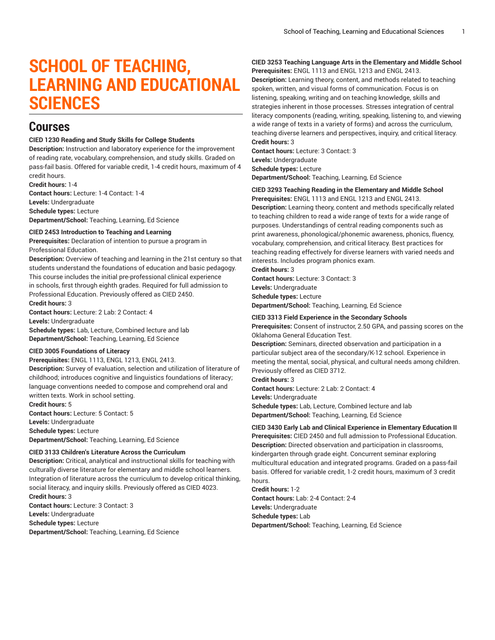# **SCHOOL OF TEACHING, LEARNING AND EDUCATIONAL SCIENCES**

## **Courses**

### **CIED 1230 Reading and Study Skills for College Students**

**Description:** Instruction and laboratory experience for the improvement of reading rate, vocabulary, comprehension, and study skills. Graded on pass-fail basis. Offered for variable credit, 1-4 credit hours, maximum of 4 credit hours.

**Credit hours:** 1-4 **Contact hours:** Lecture: 1-4 Contact: 1-4 **Levels:** Undergraduate **Schedule types:** Lecture **Department/School:** Teaching, Learning, Ed Science

#### **CIED 2453 Introduction to Teaching and Learning**

**Prerequisites:** Declaration of intention to pursue a program in Professional Education.

**Description:** Overview of teaching and learning in the 21st century so that students understand the foundations of education and basic pedagogy. This course includes the initial pre-professional clinical experience in schools, first through eighth grades. Required for full admission to Professional Education. Previously offered as CIED 2450. **Credit hours:** 3

**Contact hours:** Lecture: 2 Lab: 2 Contact: 4 **Levels:** Undergraduate **Schedule types:** Lab, Lecture, Combined lecture and lab **Department/School:** Teaching, Learning, Ed Science

## **CIED 3005 Foundations of Literacy**

### **Prerequisites:** ENGL 1113, ENGL 1213, ENGL 2413.

**Description:** Survey of evaluation, selection and utilization of literature of childhood; introduces cognitive and linguistics foundations of literacy; language conventions needed to compose and comprehend oral and written texts. Work in school setting.

**Credit hours:** 5 **Contact hours:** Lecture: 5 Contact: 5 **Levels:** Undergraduate **Schedule types:** Lecture **Department/School:** Teaching, Learning, Ed Science

#### **CIED 3133 Children's Literature Across the Curriculum**

**Description:** Critical, analytical and instructional skills for teaching with culturally diverse literature for elementary and middle school learners. Integration of literature across the curriculum to develop critical thinking, social literacy, and inquiry skills. Previously offered as CIED 4023. **Credit hours:** 3

**Contact hours:** Lecture: 3 Contact: 3 **Levels:** Undergraduate **Schedule types:** Lecture **Department/School:** Teaching, Learning, Ed Science

#### **CIED 3253 Teaching Language Arts in the Elementary and Middle School Prerequisites:** ENGL 1113 and ENGL 1213 and ENGL 2413.

**Description:** Learning theory, content, and methods related to teaching spoken, written, and visual forms of communication. Focus is on listening, speaking, writing and on teaching knowledge, skills and strategies inherent in those processes. Stresses integration of central literacy components (reading, writing, speaking, listening to, and viewing a wide range of texts in a variety of forms) and across the curriculum, teaching diverse learners and perspectives, inquiry, and critical literacy. **Credit hours:** 3

**Contact hours:** Lecture: 3 Contact: 3 **Levels:** Undergraduate **Schedule types:** Lecture **Department/School:** Teaching, Learning, Ed Science

#### **CIED 3293 Teaching Reading in the Elementary and Middle School**

**Prerequisites:** ENGL 1113 and ENGL 1213 and ENGL 2413. **Description:** Learning theory, content and methods specifically related to teaching children to read a wide range of texts for a wide range of purposes. Understandings of central reading components such as print awareness, phonological/phonemic awareness, phonics, fluency, vocabulary, comprehension, and critical literacy. Best practices for teaching reading effectively for diverse learners with varied needs and interests. Includes program phonics exam.

**Credit hours:** 3

**Contact hours:** Lecture: 3 Contact: 3 **Levels:** Undergraduate **Schedule types:** Lecture **Department/School:** Teaching, Learning, Ed Science

#### **CIED 3313 Field Experience in the Secondary Schools**

**Prerequisites:** Consent of instructor, 2.50 GPA, and passing scores on the Oklahoma General Education Test.

**Description:** Seminars, directed observation and participation in a particular subject area of the secondary/K-12 school. Experience in meeting the mental, social, physical, and cultural needs among children. Previously offered as CIED 3712.

**Credit hours:** 3

**Contact hours:** Lecture: 2 Lab: 2 Contact: 4 **Levels:** Undergraduate **Schedule types:** Lab, Lecture, Combined lecture and lab

**Department/School:** Teaching, Learning, Ed Science

## **CIED 3430 Early Lab and Clinical Experience in Elementary Education II**

**Prerequisites:** CIED 2450 and full admission to Professional Education. **Description:** Directed observation and participation in classrooms, kindergarten through grade eight. Concurrent seminar exploring multicultural education and integrated programs. Graded on a pass-fail basis. Offered for variable credit, 1-2 credit hours, maximum of 3 credit hours.

**Credit hours:** 1-2 **Contact hours:** Lab: 2-4 Contact: 2-4 **Levels:** Undergraduate **Schedule types:** Lab **Department/School:** Teaching, Learning, Ed Science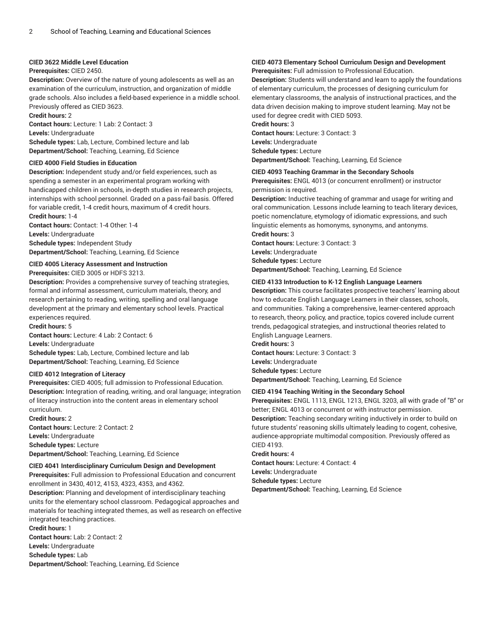#### **CIED 3622 Middle Level Education**

#### **Prerequisites:** CIED 2450.

**Description:** Overview of the nature of young adolescents as well as an examination of the curriculum, instruction, and organization of middle grade schools. Also includes a field-based experience in a middle school. Previously offered as CIED 3623.

**Credit hours:** 2

**Contact hours:** Lecture: 1 Lab: 2 Contact: 3 **Levels:** Undergraduate

**Schedule types:** Lab, Lecture, Combined lecture and lab **Department/School:** Teaching, Learning, Ed Science

### **CIED 4000 Field Studies in Education**

**Description:** Independent study and/or field experiences, such as spending a semester in an experimental program working with handicapped children in schools, in-depth studies in research projects, internships with school personnel. Graded on a pass-fail basis. Offered for variable credit, 1-4 credit hours, maximum of 4 credit hours. **Credit hours:** 1-4

**Contact hours:** Contact: 1-4 Other: 1-4 **Levels:** Undergraduate **Schedule types:** Independent Study **Department/School:** Teaching, Learning, Ed Science

**CIED 4005 Literacy Assessment and Instruction**

**Prerequisites:** CIED 3005 or HDFS 3213.

**Description:** Provides a comprehensive survey of teaching strategies, formal and informal assessment, curriculum materials, theory, and research pertaining to reading, writing, spelling and oral language development at the primary and elementary school levels. Practical experiences required.

**Credit hours:** 5

**Contact hours:** Lecture: 4 Lab: 2 Contact: 6

**Levels:** Undergraduate

**Schedule types:** Lab, Lecture, Combined lecture and lab **Department/School:** Teaching, Learning, Ed Science

#### **CIED 4012 Integration of Literacy**

**Prerequisites:** CIED 4005; full admission to Professional Education. **Description:** Integration of reading, writing, and oral language; integration of literacy instruction into the content areas in elementary school curriculum.

**Credit hours:** 2 **Contact hours:** Lecture: 2 Contact: 2 **Levels:** Undergraduate **Schedule types:** Lecture **Department/School:** Teaching, Learning, Ed Science

### **CIED 4041 Interdisciplinary Curriculum Design and Development**

**Prerequisites:** Full admission to Professional Education and concurrent enrollment in 3430, 4012, 4153, 4323, 4353, and 4362.

**Description:** Planning and development of interdisciplinary teaching units for the elementary school classroom. Pedagogical approaches and materials for teaching integrated themes, as well as research on effective integrated teaching practices.

**Credit hours:** 1 **Contact hours:** Lab: 2 Contact: 2 **Levels:** Undergraduate **Schedule types:** Lab **Department/School:** Teaching, Learning, Ed Science

#### **CIED 4073 Elementary School Curriculum Design and Development Prerequisites:** Full admission to Professional Education.

**Description:** Students will understand and learn to apply the foundations of elementary curriculum, the processes of designing curriculum for elementary classrooms, the analysis of instructional practices, and the data driven decision making to improve student learning. May not be used for degree credit with CIED 5093.

#### **Credit hours:** 3

**Contact hours:** Lecture: 3 Contact: 3 **Levels:** Undergraduate **Schedule types:** Lecture **Department/School:** Teaching, Learning, Ed Science

**CIED 4093 Teaching Grammar in the Secondary Schools**

**Prerequisites:** ENGL 4013 (or concurrent enrollment) or instructor permission is required.

**Description:** Inductive teaching of grammar and usage for writing and oral communication. Lessons include learning to teach literary devices, poetic nomenclature, etymology of idiomatic expressions, and such linguistic elements as homonyms, synonyms, and antonyms.

**Credit hours:** 3

**Contact hours:** Lecture: 3 Contact: 3 **Levels:** Undergraduate **Schedule types:** Lecture

**Department/School:** Teaching, Learning, Ed Science

#### **CIED 4133 Introduction to K-12 English Language Learners**

**Description:** This course facilitates prospective teachers' learning about how to educate English Language Learners in their classes, schools, and communities. Taking a comprehensive, learner-centered approach to research, theory, policy, and practice, topics covered include current trends, pedagogical strategies, and instructional theories related to English Language Learners.

**Credit hours:** 3 **Contact hours:** Lecture: 3 Contact: 3 **Levels:** Undergraduate **Schedule types:** Lecture **Department/School:** Teaching, Learning, Ed Science

#### **CIED 4194 Teaching Writing in the Secondary School**

**Prerequisites:** ENGL 1113, ENGL 1213, ENGL 3203, all with grade of "B" or better; ENGL 4013 or concurrent or with instructor permission. **Description:** Teaching secondary writing inductively in order to build on future students' reasoning skills ultimately leading to cogent, cohesive, audience-appropriate multimodal composition. Previously offered as CIED 4193.

**Credit hours:** 4

**Contact hours:** Lecture: 4 Contact: 4 **Levels:** Undergraduate **Schedule types:** Lecture **Department/School:** Teaching, Learning, Ed Science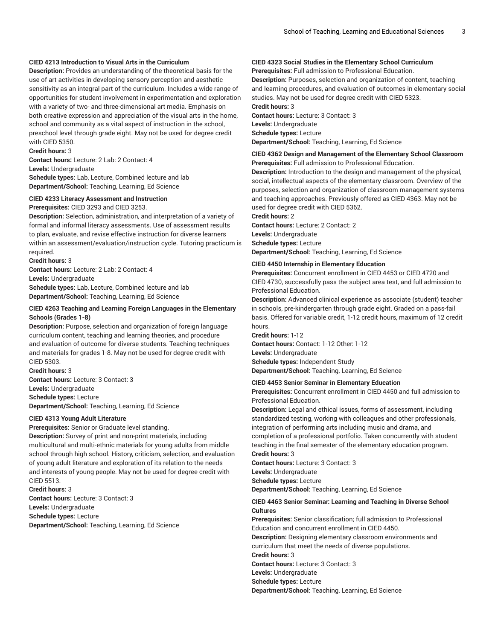### **CIED 4213 Introduction to Visual Arts in the Curriculum**

**Description:** Provides an understanding of the theoretical basis for the use of art activities in developing sensory perception and aesthetic sensitivity as an integral part of the curriculum. Includes a wide range of opportunities for student involvement in experimentation and exploration with a variety of two- and three-dimensional art media. Emphasis on both creative expression and appreciation of the visual arts in the home, school and community as a vital aspect of instruction in the school, preschool level through grade eight. May not be used for degree credit with CIED 5350.

#### **Credit hours:** 3

**Contact hours:** Lecture: 2 Lab: 2 Contact: 4 **Levels:** Undergraduate

**Schedule types:** Lab, Lecture, Combined lecture and lab **Department/School:** Teaching, Learning, Ed Science

**CIED 4233 Literacy Assessment and Instruction Prerequisites:** CIED 3293 and CIED 3253.

**Description:** Selection, administration, and interpretation of a variety of formal and informal literacy assessments. Use of assessment results to plan, evaluate, and revise effective instruction for diverse learners within an assessment/evaluation/instruction cycle. Tutoring practicum is required.

**Credit hours:** 3

**Contact hours:** Lecture: 2 Lab: 2 Contact: 4

**Levels:** Undergraduate

**Schedule types:** Lab, Lecture, Combined lecture and lab **Department/School:** Teaching, Learning, Ed Science

### **CIED 4263 Teaching and Learning Foreign Languages in the Elementary Schools (Grades 1-8)**

**Description:** Purpose, selection and organization of foreign language curriculum content, teaching and learning theories, and procedure and evaluation of outcome for diverse students. Teaching techniques and materials for grades 1-8. May not be used for degree credit with CIED 5303.

**Credit hours:** 3 **Contact hours:** Lecture: 3 Contact: 3 **Levels:** Undergraduate **Schedule types:** Lecture **Department/School:** Teaching, Learning, Ed Science

#### **CIED 4313 Young Adult Literature**

**Prerequisites:** Senior or Graduate level standing.

**Description:** Survey of print and non-print materials, including multicultural and multi-ethnic materials for young adults from middle school through high school. History, criticism, selection, and evaluation of young adult literature and exploration of its relation to the needs and interests of young people. May not be used for degree credit with CIED 5513.

**Credit hours:** 3 **Contact hours:** Lecture: 3 Contact: 3 **Levels:** Undergraduate **Schedule types:** Lecture **Department/School:** Teaching, Learning, Ed Science

## **CIED 4323 Social Studies in the Elementary School Curriculum**

**Prerequisites:** Full admission to Professional Education. **Description:** Purposes, selection and organization of content, teaching and learning procedures, and evaluation of outcomes in elementary social

studies. May not be used for degree credit with CIED 5323. **Credit hours:** 3

**Contact hours:** Lecture: 3 Contact: 3 **Levels:** Undergraduate **Schedule types:** Lecture **Department/School:** Teaching, Learning, Ed Science

### **CIED 4362 Design and Management of the Elementary School Classroom Prerequisites:** Full admission to Professional Education.

**Description:** Introduction to the design and management of the physical, social, intellectual aspects of the elementary classroom. Overview of the purposes, selection and organization of classroom management systems and teaching approaches. Previously offered as CIED 4363. May not be used for degree credit with CIED 5362.

**Credit hours:** 2

**Contact hours:** Lecture: 2 Contact: 2 **Levels:** Undergraduate **Schedule types:** Lecture **Department/School:** Teaching, Learning, Ed Science

### **CIED 4450 Internship in Elementary Education**

**Prerequisites:** Concurrent enrollment in CIED 4453 or CIED 4720 and CIED 4730, successfully pass the subject area test, and full admission to Professional Education.

**Description:** Advanced clinical experience as associate (student) teacher in schools, pre-kindergarten through grade eight. Graded on a pass-fail basis. Offered for variable credit, 1-12 credit hours, maximum of 12 credit hours.

**Credit hours:** 1-12 **Contact hours:** Contact: 1-12 Other: 1-12 **Levels:** Undergraduate **Schedule types:** Independent Study **Department/School:** Teaching, Learning, Ed Science

#### **CIED 4453 Senior Seminar in Elementary Education**

**Prerequisites:** Concurrent enrollment in CIED 4450 and full admission to Professional Education.

**Description:** Legal and ethical issues, forms of assessment, including standardized testing, working with colleagues and other professionals, integration of performing arts including music and drama, and completion of a professional portfolio. Taken concurrently with student teaching in the final semester of the elementary education program. **Credit hours:** 3

**Contact hours:** Lecture: 3 Contact: 3 **Levels:** Undergraduate **Schedule types:** Lecture **Department/School:** Teaching, Learning, Ed Science

### **CIED 4463 Senior Seminar: Learning and Teaching in Diverse School Cultures**

**Prerequisites:** Senior classification; full admission to Professional Education and concurrent enrollment in CIED 4450. **Description:** Designing elementary classroom environments and curriculum that meet the needs of diverse populations. **Credit hours:** 3 **Contact hours:** Lecture: 3 Contact: 3 **Levels:** Undergraduate **Schedule types:** Lecture **Department/School:** Teaching, Learning, Ed Science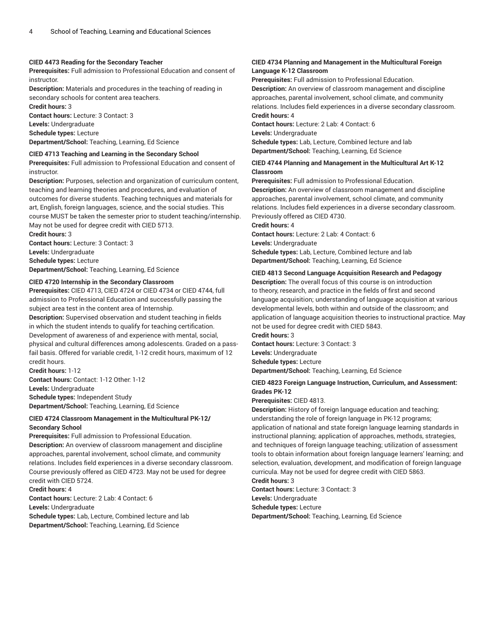#### **CIED 4473 Reading for the Secondary Teacher**

**Prerequisites:** Full admission to Professional Education and consent of instructor.

**Description:** Materials and procedures in the teaching of reading in secondary schools for content area teachers.

**Credit hours:** 3

**Contact hours:** Lecture: 3 Contact: 3

**Levels:** Undergraduate

**Schedule types:** Lecture

**Department/School:** Teaching, Learning, Ed Science

#### **CIED 4713 Teaching and Learning in the Secondary School**

**Prerequisites:** Full admission to Professional Education and consent of instructor.

**Description:** Purposes, selection and organization of curriculum content, teaching and learning theories and procedures, and evaluation of outcomes for diverse students. Teaching techniques and materials for art, English, foreign languages, science, and the social studies. This course MUST be taken the semester prior to student teaching/internship. May not be used for degree credit with CIED 5713. **Credit hours:** 3

**Contact hours:** Lecture: 3 Contact: 3

**Levels:** Undergraduate

**Schedule types:** Lecture

**Department/School:** Teaching, Learning, Ed Science

#### **CIED 4720 Internship in the Secondary Classroom**

**Prerequisites:** CIED 4713, CIED 4724 or CIED 4734 or CIED 4744, full admission to Professional Education and successfully passing the subject area test in the content area of Internship.

**Description:** Supervised observation and student teaching in fields in which the student intends to qualify for teaching certification. Development of awareness of and experience with mental, social, physical and cultural differences among adolescents. Graded on a passfail basis. Offered for variable credit, 1-12 credit hours, maximum of 12 credit hours.

**Credit hours:** 1-12 **Contact hours:** Contact: 1-12 Other: 1-12 **Levels:** Undergraduate

**Schedule types:** Independent Study **Department/School:** Teaching, Learning, Ed Science

### **CIED 4724 Classroom Management in the Multicultural PK-12/ Secondary School**

**Prerequisites:** Full admission to Professional Education.

**Description:** An overview of classroom management and discipline approaches, parental involvement, school climate, and community relations. Includes field experiences in a diverse secondary classroom. Course previously offered as CIED 4723. May not be used for degree credit with CIED 5724.

**Credit hours:** 4

**Contact hours:** Lecture: 2 Lab: 4 Contact: 6

**Levels:** Undergraduate

**Schedule types:** Lab, Lecture, Combined lecture and lab **Department/School:** Teaching, Learning, Ed Science

### **CIED 4734 Planning and Management in the Multicultural Foreign Language K-12 Classroom**

**Prerequisites:** Full admission to Professional Education. **Description:** An overview of classroom management and discipline approaches, parental involvement, school climate, and community relations. Includes field experiences in a diverse secondary classroom. **Credit hours:** 4

**Contact hours:** Lecture: 2 Lab: 4 Contact: 6

**Levels:** Undergraduate

**Schedule types:** Lab, Lecture, Combined lecture and lab **Department/School:** Teaching, Learning, Ed Science

### **CIED 4744 Planning and Management in the Multicultural Art K-12 Classroom**

**Prerequisites:** Full admission to Professional Education.

**Description:** An overview of classroom management and discipline approaches, parental involvement, school climate, and community relations. Includes field experiences in a diverse secondary classroom. Previously offered as CIED 4730.

### **Credit hours:** 4

**Contact hours:** Lecture: 2 Lab: 4 Contact: 6 **Levels:** Undergraduate **Schedule types:** Lab, Lecture, Combined lecture and lab **Department/School:** Teaching, Learning, Ed Science

#### **CIED 4813 Second Language Acquisition Research and Pedagogy**

**Description:** The overall focus of this course is on introduction to theory, research, and practice in the fields of first and second language acquisition; understanding of language acquisition at various developmental levels, both within and outside of the classroom; and application of language acquisition theories to instructional practice. May not be used for degree credit with CIED 5843. **Credit hours:** 3

**Contact hours:** Lecture: 3 Contact: 3 **Levels:** Undergraduate **Schedule types:** Lecture **Department/School:** Teaching, Learning, Ed Science

### **CIED 4823 Foreign Language Instruction, Curriculum, and Assessment: Grades PK-12**

#### **Prerequisites:** CIED 4813.

**Description:** History of foreign language education and teaching; understanding the role of foreign language in PK-12 programs; application of national and state foreign language learning standards in instructional planning; application of approaches, methods, strategies, and techniques of foreign language teaching; utilization of assessment tools to obtain information about foreign language learners' learning; and selection, evaluation, development, and modification of foreign language curricula. May not be used for degree credit with CIED 5863. **Credit hours:** 3

**Contact hours:** Lecture: 3 Contact: 3 **Levels:** Undergraduate

**Schedule types:** Lecture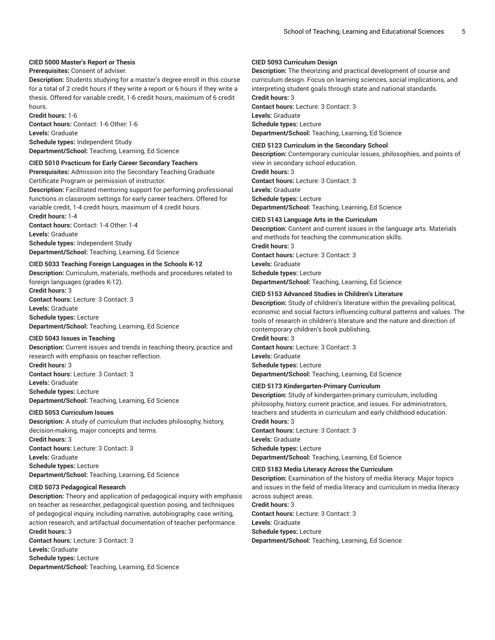### **CIED 5000 Master's Report or Thesis**

### **Prerequisites:** Consent of adviser.

**Description:** Students studying for a master's degree enroll in this course for a total of 2 credit hours if they write a report or 6 hours if they write a thesis. Offered for variable credit, 1-6 credit hours, maximum of 6 credit hours.

**Credit hours:** 1-6

**Contact hours:** Contact: 1-6 Other: 1-6 **Levels:** Graduate **Schedule types:** Independent Study

**Department/School:** Teaching, Learning, Ed Science

### **CIED 5010 Practicum for Early Career Secondary Teachers**

**Prerequisites:** Admission into the Secondary Teaching Graduate Certificate Program or permission of instructor.

**Description:** Facilitated mentoring support for performing professional functions in classroom settings for early career teachers. Offered for variable credit, 1-4 credit hours, maximum of 4 credit hours.

**Credit hours:** 1-4 **Contact hours:** Contact: 1-4 Other: 1-4 **Levels:** Graduate **Schedule types:** Independent Study **Department/School:** Teaching, Learning, Ed Science

**CIED 5033 Teaching Foreign Languages in the Schools K-12**

**Description:** Curriculum, materials, methods and procedures related to foreign languages (grades K-12).

**Credit hours:** 3 **Contact hours:** Lecture: 3 Contact: 3 **Levels:** Graduate

**Schedule types:** Lecture **Department/School:** Teaching, Learning, Ed Science

### **CIED 5043 Issues in Teaching**

**Description:** Current issues and trends in teaching theory, practice and research with emphasis on teacher reflection. **Credit hours:** 3 **Contact hours:** Lecture: 3 Contact: 3 **Levels:** Graduate **Schedule types:** Lecture **Department/School:** Teaching, Learning, Ed Science

#### **CIED 5053 Curriculum Issues**

**Description:** A study of curriculum that includes philosophy, history, decision-making, major concepts and terms.

**Credit hours:** 3 **Contact hours:** Lecture: 3 Contact: 3 **Levels:** Graduate **Schedule types:** Lecture **Department/School:** Teaching, Learning, Ed Science

#### **CIED 5073 Pedagogical Research**

**Description:** Theory and application of pedagogical inquiry with emphasis on teacher as researcher, pedagogical question posing, and techniques of pedagogical inquiry, including narrative, autobiography, case writing, action research, and artifactual documentation of teacher performance. **Credit hours:** 3

**Contact hours:** Lecture: 3 Contact: 3 **Levels:** Graduate **Schedule types:** Lecture **Department/School:** Teaching, Learning, Ed Science

### **CIED 5093 Curriculum Design**

**Description:** The theorizing and practical development of course and curriculum design. Focus on learning sciences, social implications, and interpreting student goals through state and national standards.

**Credit hours:** 3

**Contact hours:** Lecture: 3 Contact: 3 **Levels:** Graduate

**Schedule types:** Lecture

**Department/School:** Teaching, Learning, Ed Science

### **CIED 5123 Curriculum in the Secondary School**

**Description:** Contemporary curricular issues, philosophies, and points of view in secondary school education.

**Credit hours:** 3 **Contact hours:** Lecture: 3 Contact: 3 **Levels:** Graduate **Schedule types:** Lecture

**Department/School:** Teaching, Learning, Ed Science

#### **CIED 5143 Language Arts in the Curriculum**

**Description:** Content and current issues in the language arts. Materials and methods for teaching the communication skills. **Credit hours:** 3 **Contact hours:** Lecture: 3 Contact: 3 **Levels:** Graduate **Schedule types:** Lecture **Department/School:** Teaching, Learning, Ed Science

#### **CIED 5153 Advanced Studies in Children's Literature**

**Description:** Study of children's literature within the prevailing political, economic and social factors influencing cultural patterns and values. The tools of research in children's literature and the nature and direction of contemporary children's book publishing.

**Credit hours:** 3 **Contact hours:** Lecture: 3 Contact: 3 **Levels:** Graduate **Schedule types:** Lecture **Department/School:** Teaching, Learning, Ed Science

### **CIED 5173 Kindergarten-Primary Curriculum**

**Description:** Study of kindergarten-primary curriculum, including philosophy, history, current practice, and issues. For administrators, teachers and students in curriculum and early childhood education. **Credit hours:** 3

**Contact hours:** Lecture: 3 Contact: 3 **Levels:** Graduate **Schedule types:** Lecture **Department/School:** Teaching, Learning, Ed Science

#### **CIED 5183 Media Literacy Across the Curriculum**

**Description:** Examination of the history of media literacy. Major topics and issues in the field of media literacy and curriculum in media literacy across subject areas.

**Credit hours:** 3 **Contact hours:** Lecture: 3 Contact: 3 **Levels:** Graduate **Schedule types:** Lecture **Department/School:** Teaching, Learning, Ed Science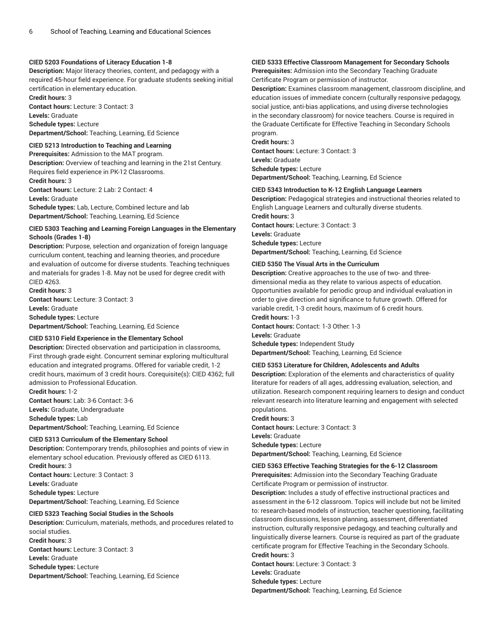### **CIED 5203 Foundations of Literacy Education 1-8**

**Description:** Major literacy theories, content, and pedagogy with a required 45-hour field experience. For graduate students seeking initial certification in elementary education.

**Credit hours:** 3 **Contact hours:** Lecture: 3 Contact: 3 **Levels:** Graduate **Schedule types:** Lecture

**Department/School:** Teaching, Learning, Ed Science

### **CIED 5213 Introduction to Teaching and Learning**

**Prerequisites:** Admission to the MAT program. **Description:** Overview of teaching and learning in the 21st Century. Requires field experience in PK-12 Classrooms. **Credit hours:** 3

**Contact hours:** Lecture: 2 Lab: 2 Contact: 4 **Levels:** Graduate

**Schedule types:** Lab, Lecture, Combined lecture and lab **Department/School:** Teaching, Learning, Ed Science

### **CIED 5303 Teaching and Learning Foreign Languages in the Elementary Schools (Grades 1-8)**

**Description:** Purpose, selection and organization of foreign language curriculum content, teaching and learning theories, and procedure and evaluation of outcome for diverse students. Teaching techniques and materials for grades 1-8. May not be used for degree credit with CIED 4263.

**Credit hours:** 3 **Contact hours:** Lecture: 3 Contact: 3 **Levels:** Graduate **Schedule types:** Lecture **Department/School:** Teaching, Learning, Ed Science

#### **CIED 5310 Field Experience in the Elementary School**

**Description:** Directed observation and participation in classrooms, First through grade eight. Concurrent seminar exploring multicultural education and integrated programs. Offered for variable credit, 1-2 credit hours, maximum of 3 credit hours. Corequisite(s): CIED 4362; full admission to Professional Education.

**Credit hours:** 1-2 **Contact hours:** Lab: 3-6 Contact: 3-6 **Levels:** Graduate, Undergraduate **Schedule types:** Lab **Department/School:** Teaching, Learning, Ed Science

### **CIED 5313 Curriculum of the Elementary School**

**Description:** Contemporary trends, philosophies and points of view in elementary school education. Previously offered as CIED 6113. **Credit hours:** 3

**Contact hours:** Lecture: 3 Contact: 3 **Levels:** Graduate **Schedule types:** Lecture **Department/School:** Teaching, Learning, Ed Science

#### **CIED 5323 Teaching Social Studies in the Schools**

**Description:** Curriculum, materials, methods, and procedures related to social studies. **Credit hours:** 3 **Contact hours:** Lecture: 3 Contact: 3 **Levels:** Graduate **Schedule types:** Lecture **Department/School:** Teaching, Learning, Ed Science

### **CIED 5333 Effective Classroom Management for Secondary Schools**

**Prerequisites:** Admission into the Secondary Teaching Graduate Certificate Program or permission of instructor.

**Description:** Examines classroom management, classroom discipline, and education issues of immediate concern (culturally responsive pedagogy, social justice, anti-bias applications, and using diverse technologies in the secondary classroom) for novice teachers. Course is required in the Graduate Certificate for Effective Teaching in Secondary Schools program.

**Credit hours:** 3 **Contact hours:** Lecture: 3 Contact: 3 **Levels:** Graduate **Schedule types:** Lecture **Department/School:** Teaching, Learning, Ed Science

#### **CIED 5343 Introduction to K-12 English Language Learners**

**Description:** Pedagogical strategies and instructional theories related to English Language Learners and culturally diverse students. **Credit hours:** 3

**Contact hours:** Lecture: 3 Contact: 3 **Levels:** Graduate **Schedule types:** Lecture **Department/School:** Teaching, Learning, Ed Science

#### **CIED 5350 The Visual Arts in the Curriculum**

**Description:** Creative approaches to the use of two- and threedimensional media as they relate to various aspects of education. Opportunities available for periodic group and individual evaluation in order to give direction and significance to future growth. Offered for variable credit, 1-3 credit hours, maximum of 6 credit hours.

#### **Credit hours:** 1-3

**Contact hours:** Contact: 1-3 Other: 1-3

#### **Levels:** Graduate

**Schedule types:** Independent Study **Department/School:** Teaching, Learning, Ed Science

#### **CIED 5353 Literature for Children, Adolescents and Adults**

**Description:** Exploration of the elements and characteristics of quality literature for readers of all ages, addressing evaluation, selection, and utilization. Research component requiring learners to design and conduct relevant research into literature learning and engagement with selected populations.

**Credit hours:** 3 **Contact hours:** Lecture: 3 Contact: 3 **Levels:** Graduate **Schedule types:** Lecture

**Department/School:** Teaching, Learning, Ed Science

### **CIED 5363 Effective Teaching Strategies for the 6-12 Classroom**

**Prerequisites:** Admission into the Secondary Teaching Graduate Certificate Program or permission of instructor.

**Description:** Includes a study of effective instructional practices and assessment in the 6-12 classroom. Topics will include but not be limited to: research-based models of instruction, teacher questioning, facilitating classroom discussions, lesson planning, assessment, differentiated instruction, culturally responsive pedagogy, and teaching culturally and linguistically diverse learners. Course is required as part of the graduate certificate program for Effective Teaching in the Secondary Schools.

**Credit hours:** 3

**Contact hours:** Lecture: 3 Contact: 3

**Levels:** Graduate

**Schedule types:** Lecture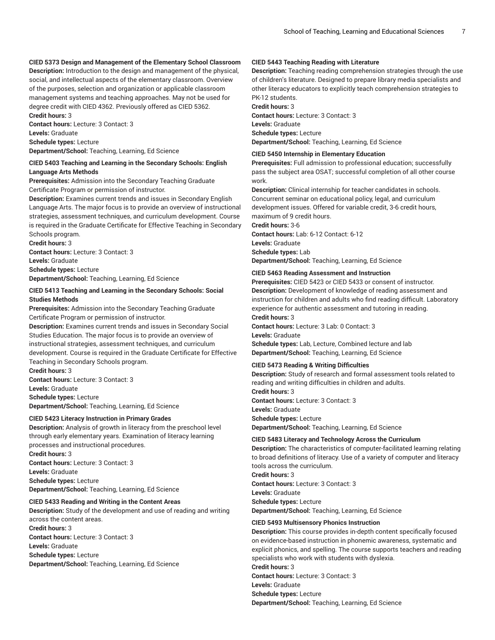### **CIED 5373 Design and Management of the Elementary School Classroom**

**Description:** Introduction to the design and management of the physical, social, and intellectual aspects of the elementary classroom. Overview of the purposes, selection and organization or applicable classroom management systems and teaching approaches. May not be used for degree credit with CIED 4362. Previously offered as CIED 5362. **Credit hours:** 3

**Contact hours:** Lecture: 3 Contact: 3 **Levels:** Graduate **Schedule types:** Lecture **Department/School:** Teaching, Learning, Ed Science

### **CIED 5403 Teaching and Learning in the Secondary Schools: English Language Arts Methods**

**Prerequisites:** Admission into the Secondary Teaching Graduate Certificate Program or permission of instructor.

**Description:** Examines current trends and issues in Secondary English Language Arts. The major focus is to provide an overview of instructional strategies, assessment techniques, and curriculum development. Course is required in the Graduate Certificate for Effective Teaching in Secondary Schools program.

**Credit hours:** 3 **Contact hours:** Lecture: 3 Contact: 3 **Levels:** Graduate **Schedule types:** Lecture **Department/School:** Teaching, Learning, Ed Science

#### **CIED 5413 Teaching and Learning in the Secondary Schools: Social Studies Methods**

**Prerequisites:** Admission into the Secondary Teaching Graduate Certificate Program or permission of instructor.

**Description:** Examines current trends and issues in Secondary Social Studies Education. The major focus is to provide an overview of instructional strategies, assessment techniques, and curriculum development. Course is required in the Graduate Certificate for Effective Teaching in Secondary Schools program.

**Credit hours:** 3 **Contact hours:** Lecture: 3 Contact: 3 **Levels:** Graduate **Schedule types:** Lecture **Department/School:** Teaching, Learning, Ed Science

### **CIED 5423 Literacy Instruction in Primary Grades**

**Description:** Analysis of growth in literacy from the preschool level through early elementary years. Examination of literacy learning processes and instructional procedures.

**Credit hours:** 3 **Contact hours:** Lecture: 3 Contact: 3 **Levels:** Graduate **Schedule types:** Lecture **Department/School:** Teaching, Learning, Ed Science

#### **CIED 5433 Reading and Writing in the Content Areas**

**Description:** Study of the development and use of reading and writing across the content areas. **Credit hours:** 3 **Contact hours:** Lecture: 3 Contact: 3 **Levels:** Graduate **Schedule types:** Lecture **Department/School:** Teaching, Learning, Ed Science

### **CIED 5443 Teaching Reading with Literature**

**Description:** Teaching reading comprehension strategies through the use of children's literature. Designed to prepare library media specialists and other literacy educators to explicitly teach comprehension strategies to PK-12 students.

**Credit hours:** 3

**Contact hours:** Lecture: 3 Contact: 3 **Levels:** Graduate **Schedule types:** Lecture **Department/School:** Teaching, Learning, Ed Science

#### **CIED 5450 Internship in Elementary Education**

**Prerequisites:** Full admission to professional education; successfully pass the subject area OSAT; successful completion of all other course work.

**Description:** Clinical internship for teacher candidates in schools. Concurrent seminar on educational policy, legal, and curriculum development issues. Offered for variable credit, 3-6 credit hours, maximum of 9 credit hours.

**Credit hours:** 3-6

**Contact hours:** Lab: 6-12 Contact: 6-12 **Levels:** Graduate **Schedule types:** Lab **Department/School:** Teaching, Learning, Ed Science

#### **CIED 5463 Reading Assessment and Instruction**

**Prerequisites:** CIED 5423 or CIED 5433 or consent of instructor. **Description:** Development of knowledge of reading assessment and instruction for children and adults who find reading difficult. Laboratory experience for authentic assessment and tutoring in reading.

**Credit hours:** 3

**Contact hours:** Lecture: 3 Lab: 0 Contact: 3 **Levels:** Graduate

**Schedule types:** Lab, Lecture, Combined lecture and lab **Department/School:** Teaching, Learning, Ed Science

### **CIED 5473 Reading & Writing Difficulties**

**Description:** Study of research and formal assessment tools related to reading and writing difficulties in children and adults. **Credit hours:** 3

**Contact hours:** Lecture: 3 Contact: 3 **Levels:** Graduate **Schedule types:** Lecture **Department/School:** Teaching, Learning, Ed Science

#### **CIED 5483 Literacy and Technology Across the Curriculum**

**Description:** The characteristics of computer-facilitated learning relating to broad definitions of literacy. Use of a variety of computer and literacy tools across the curriculum.

**Credit hours:** 3 **Contact hours:** Lecture: 3 Contact: 3 **Levels:** Graduate

**Schedule types:** Lecture

**Department/School:** Teaching, Learning, Ed Science

#### **CIED 5493 Multisensory Phonics Instruction**

**Description:** This course provides in-depth content specifically focused on evidence-based instruction in phonemic awareness, systematic and explicit phonics, and spelling. The course supports teachers and reading specialists who work with students with dyslexia.

**Credit hours:** 3 **Contact hours:** Lecture: 3 Contact: 3 **Levels:** Graduate **Schedule types:** Lecture **Department/School:** Teaching, Learning, Ed Science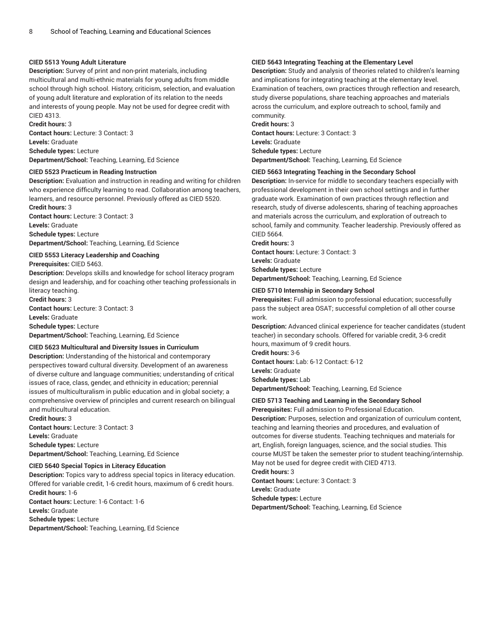### **CIED 5513 Young Adult Literature**

**Description:** Survey of print and non-print materials, including multicultural and multi-ethnic materials for young adults from middle school through high school. History, criticism, selection, and evaluation of young adult literature and exploration of its relation to the needs and interests of young people. May not be used for degree credit with CIED 4313.

#### **Credit hours:** 3

**Contact hours:** Lecture: 3 Contact: 3 **Levels:** Graduate **Schedule types:** Lecture **Department/School:** Teaching, Learning, Ed Science

### **CIED 5523 Practicum in Reading Instruction**

**Description:** Evaluation and instruction in reading and writing for children who experience difficulty learning to read. Collaboration among teachers, learners, and resource personnel. Previously offered as CIED 5520. **Credit hours:** 3

**Contact hours:** Lecture: 3 Contact: 3 **Levels:** Graduate

**Schedule types:** Lecture **Department/School:** Teaching, Learning, Ed Science

### **CIED 5553 Literacy Leadership and Coaching**

**Prerequisites:** CIED 5463.

**Description:** Develops skills and knowledge for school literacy program design and leadership, and for coaching other teaching professionals in literacy teaching.

**Credit hours:** 3 **Contact hours:** Lecture: 3 Contact: 3

**Levels:** Graduate

**Schedule types:** Lecture

**Department/School:** Teaching, Learning, Ed Science

#### **CIED 5623 Multicultural and Diversity Issues in Curriculum**

**Description:** Understanding of the historical and contemporary perspectives toward cultural diversity. Development of an awareness of diverse culture and language communities; understanding of critical issues of race, class, gender, and ethnicity in education; perennial issues of multiculturalism in public education and in global society; a comprehensive overview of principles and current research on bilingual and multicultural education.

**Credit hours:** 3

**Contact hours:** Lecture: 3 Contact: 3 **Levels:** Graduate **Schedule types:** Lecture **Department/School:** Teaching, Learning, Ed Science

#### **CIED 5640 Special Topics in Literacy Education**

**Description:** Topics vary to address special topics in literacy education. Offered for variable credit, 1-6 credit hours, maximum of 6 credit hours. **Credit hours:** 1-6

**Contact hours:** Lecture: 1-6 Contact: 1-6 **Levels:** Graduate **Schedule types:** Lecture

**Department/School:** Teaching, Learning, Ed Science

### **CIED 5643 Integrating Teaching at the Elementary Level**

**Description:** Study and analysis of theories related to children's learning and implications for integrating teaching at the elementary level. Examination of teachers, own practices through reflection and research, study diverse populations, share teaching approaches and materials across the curriculum, and explore outreach to school, family and community.

**Credit hours:** 3

**Contact hours:** Lecture: 3 Contact: 3 **Levels:** Graduate **Schedule types:** Lecture **Department/School:** Teaching, Learning, Ed Science

#### **CIED 5663 Integrating Teaching in the Secondary School**

**Description:** In-service for middle to secondary teachers especially with professional development in their own school settings and in further graduate work. Examination of own practices through reflection and research, study of diverse adolescents, sharing of teaching approaches and materials across the curriculum, and exploration of outreach to school, family and community. Teacher leadership. Previously offered as CIED 5664.

**Credit hours:** 3

**Contact hours:** Lecture: 3 Contact: 3 **Levels:** Graduate

**Schedule types:** Lecture

**Department/School:** Teaching, Learning, Ed Science

#### **CIED 5710 Internship in Secondary School**

**Prerequisites:** Full admission to professional education; successfully pass the subject area OSAT; successful completion of all other course work.

**Description:** Advanced clinical experience for teacher candidates (student teacher) in secondary schools. Offered for variable credit, 3-6 credit hours, maximum of 9 credit hours. **Credit hours:** 3-6

**Contact hours:** Lab: 6-12 Contact: 6-12 **Levels:** Graduate **Schedule types:** Lab

**Department/School:** Teaching, Learning, Ed Science

#### **CIED 5713 Teaching and Learning in the Secondary School**

**Prerequisites:** Full admission to Professional Education. **Description:** Purposes, selection and organization of curriculum content, teaching and learning theories and procedures, and evaluation of outcomes for diverse students. Teaching techniques and materials for art, English, foreign languages, science, and the social studies. This course MUST be taken the semester prior to student teaching/internship. May not be used for degree credit with CIED 4713.

**Credit hours:** 3 **Contact hours:** Lecture: 3 Contact: 3 **Levels:** Graduate **Schedule types:** Lecture **Department/School:** Teaching, Learning, Ed Science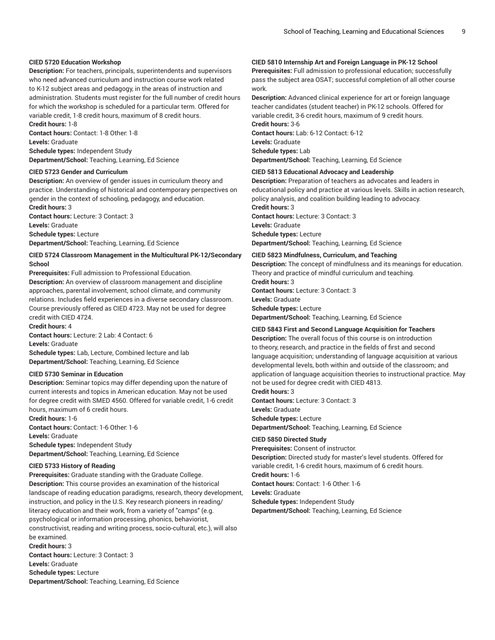### **CIED 5720 Education Workshop**

**Description:** For teachers, principals, superintendents and supervisors who need advanced curriculum and instruction course work related to K-12 subject areas and pedagogy, in the areas of instruction and administration. Students must register for the full number of credit hours for which the workshop is scheduled for a particular term. Offered for variable credit, 1-8 credit hours, maximum of 8 credit hours.

**Credit hours:** 1-8 **Contact hours:** Contact: 1-8 Other: 1-8 **Levels:** Graduate

**Schedule types:** Independent Study **Department/School:** Teaching, Learning, Ed Science

#### **CIED 5723 Gender and Curriculum**

**Description:** An overview of gender issues in curriculum theory and practice. Understanding of historical and contemporary perspectives on gender in the context of schooling, pedagogy, and education. **Credit hours:** 3

**Contact hours:** Lecture: 3 Contact: 3 **Levels:** Graduate

**Schedule types:** Lecture

**Department/School:** Teaching, Learning, Ed Science

#### **CIED 5724 Classroom Management in the Multicultural PK-12/Secondary School**

**Prerequisites:** Full admission to Professional Education.

**Description:** An overview of classroom management and discipline approaches, parental involvement, school climate, and community relations. Includes field experiences in a diverse secondary classroom. Course previously offered as CIED 4723. May not be used for degree credit with CIED 4724.

**Credit hours:** 4

**Contact hours:** Lecture: 2 Lab: 4 Contact: 6 **Levels:** Graduate

**Schedule types:** Lab, Lecture, Combined lecture and lab

**Department/School:** Teaching, Learning, Ed Science

### **CIED 5730 Seminar in Education**

**Description:** Seminar topics may differ depending upon the nature of current interests and topics in American education. May not be used for degree credit with SMED 4560. Offered for variable credit, 1-6 credit hours, maximum of 6 credit hours.

**Credit hours:** 1-6 **Contact hours:** Contact: 1-6 Other: 1-6 **Levels:** Graduate **Schedule types:** Independent Study **Department/School:** Teaching, Learning, Ed Science

#### **CIED 5733 History of Reading**

**Prerequisites:** Graduate standing with the Graduate College. **Description:** This course provides an examination of the historical landscape of reading education paradigms, research, theory development, instruction, and policy in the U.S. Key research pioneers in reading/ literacy education and their work, from a variety of "camps" (e.g. psychological or information processing, phonics, behaviorist, constructivist, reading and writing process, socio-cultural, etc.), will also be examined.

**Credit hours:** 3

**Contact hours:** Lecture: 3 Contact: 3 **Levels:** Graduate **Schedule types:** Lecture **Department/School:** Teaching, Learning, Ed Science

### **CIED 5810 Internship Art and Foreign Language in PK-12 School**

**Prerequisites:** Full admission to professional education; successfully pass the subject area OSAT; successful completion of all other course work.

**Description:** Advanced clinical experience for art or foreign language teacher candidates (student teacher) in PK-12 schools. Offered for variable credit, 3-6 credit hours, maximum of 9 credit hours.

**Credit hours:** 3-6 **Contact hours:** Lab: 6-12 Contact: 6-12

**Levels:** Graduate

**Schedule types:** Lab

**Department/School:** Teaching, Learning, Ed Science

### **CIED 5813 Educational Advocacy and Leadership**

**Description:** Preparation of teachers as advocates and leaders in educational policy and practice at various levels. Skills in action research, policy analysis, and coalition building leading to advocacy.

**Credit hours:** 3 **Contact hours:** Lecture: 3 Contact: 3

**Levels:** Graduate

**Schedule types:** Lecture

**Department/School:** Teaching, Learning, Ed Science

#### **CIED 5823 Mindfulness, Curriculum, and Teaching**

**Description:** The concept of mindfulness and its meanings for education. Theory and practice of mindful curriculum and teaching.

**Credit hours:** 3 **Contact hours:** Lecture: 3 Contact: 3 **Levels:** Graduate **Schedule types:** Lecture **Department/School:** Teaching, Learning, Ed Science

#### **CIED 5843 First and Second Language Acquisition for Teachers**

**Description:** The overall focus of this course is on introduction to theory, research, and practice in the fields of first and second language acquisition; understanding of language acquisition at various developmental levels, both within and outside of the classroom; and application of language acquisition theories to instructional practice. May not be used for degree credit with CIED 4813.

**Credit hours:** 3 **Contact hours:** Lecture: 3 Contact: 3 **Levels:** Graduate **Schedule types:** Lecture **Department/School:** Teaching, Learning, Ed Science

## **CIED 5850 Directed Study**

**Prerequisites:** Consent of instructor. **Description:** Directed study for master's level students. Offered for variable credit, 1-6 credit hours, maximum of 6 credit hours. **Credit hours:** 1-6

**Contact hours:** Contact: 1-6 Other: 1-6

**Levels:** Graduate

**Schedule types:** Independent Study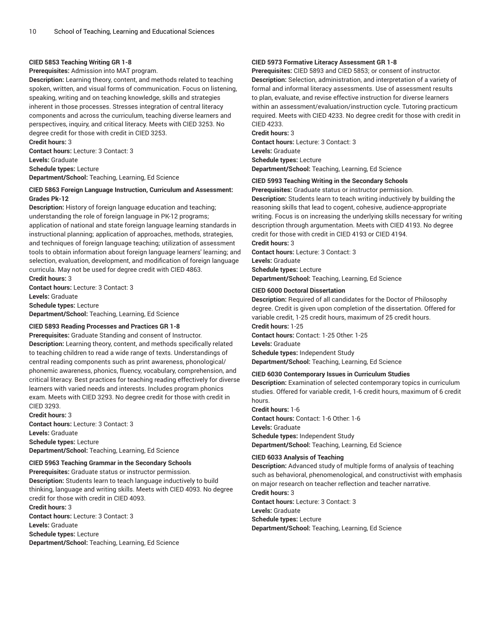#### **CIED 5853 Teaching Writing GR 1-8**

**Prerequisites:** Admission into MAT program.

**Description:** Learning theory, content, and methods related to teaching spoken, written, and visual forms of communication. Focus on listening, speaking, writing and on teaching knowledge, skills and strategies inherent in those processes. Stresses integration of central literacy components and across the curriculum, teaching diverse learners and perspectives, inquiry, and critical literacy. Meets with CIED 3253. No degree credit for those with credit in CIED 3253. **Credit hours:** 3

**Contact hours:** Lecture: 3 Contact: 3

**Levels:** Graduate

**Schedule types:** Lecture **Department/School:** Teaching, Learning, Ed Science

### **CIED 5863 Foreign Language Instruction, Curriculum and Assessment: Grades Pk-12**

**Description:** History of foreign language education and teaching; understanding the role of foreign language in PK-12 programs; application of national and state foreign language learning standards in instructional planning; application of approaches, methods, strategies, and techniques of foreign language teaching; utilization of assessment tools to obtain information about foreign language learners' learning; and selection, evaluation, development, and modification of foreign language curricula. May not be used for degree credit with CIED 4863.

**Credit hours:** 3 **Contact hours:** Lecture: 3 Contact: 3 **Levels:** Graduate

**Schedule types:** Lecture **Department/School:** Teaching, Learning, Ed Science

#### **CIED 5893 Reading Processes and Practices GR 1-8**

**Prerequisites:** Graduate Standing and consent of Instructor. **Description:** Learning theory, content, and methods specifically related to teaching children to read a wide range of texts. Understandings of central reading components such as print awareness, phonological/ phonemic awareness, phonics, fluency, vocabulary, comprehension, and critical literacy. Best practices for teaching reading effectively for diverse learners with varied needs and interests. Includes program phonics exam. Meets with CIED 3293. No degree credit for those with credit in CIED 3293.

**Credit hours:** 3 **Contact hours:** Lecture: 3 Contact: 3 **Levels:** Graduate **Schedule types:** Lecture **Department/School:** Teaching, Learning, Ed Science

### **CIED 5963 Teaching Grammar in the Secondary Schools**

**Prerequisites:** Graduate status or instructor permission. **Description:** Students learn to teach language inductively to build thinking, language and writing skills. Meets with CIED 4093. No degree credit for those with credit in CIED 4093.

**Credit hours:** 3 **Contact hours:** Lecture: 3 Contact: 3 **Levels:** Graduate **Schedule types:** Lecture **Department/School:** Teaching, Learning, Ed Science

### **CIED 5973 Formative Literacy Assessment GR 1-8**

**Prerequisites:** CIED 5893 and CIED 5853; or consent of instructor. **Description:** Selection, administration, and interpretation of a variety of formal and informal literacy assessments. Use of assessment results to plan, evaluate, and revise effective instruction for diverse learners within an assessment/evaluation/instruction cycle. Tutoring practicum required. Meets with CIED 4233. No degree credit for those with credit in CIED 4233.

**Credit hours:** 3 **Contact hours:** Lecture: 3 Contact: 3 **Levels:** Graduate **Schedule types:** Lecture **Department/School:** Teaching, Learning, Ed Science

### **CIED 5993 Teaching Writing in the Secondary Schools**

**Prerequisites:** Graduate status or instructor permission.

**Description:** Students learn to teach writing inductively by building the reasoning skills that lead to cogent, cohesive, audience-appropriate writing. Focus is on increasing the underlying skills necessary for writing description through argumentation. Meets with CIED 4193. No degree credit for those with credit in CIED 4193 or CIED 4194.

**Credit hours:** 3

**Contact hours:** Lecture: 3 Contact: 3 **Levels:** Graduate **Schedule types:** Lecture **Department/School:** Teaching, Learning, Ed Science

### **CIED 6000 Doctoral Dissertation**

**Description:** Required of all candidates for the Doctor of Philosophy degree. Credit is given upon completion of the dissertation. Offered for variable credit, 1-25 credit hours, maximum of 25 credit hours. **Credit hours:** 1-25 **Contact hours:** Contact: 1-25 Other: 1-25 **Levels:** Graduate

**Schedule types:** Independent Study **Department/School:** Teaching, Learning, Ed Science

#### **CIED 6030 Contemporary Issues in Curriculum Studies**

**Description:** Examination of selected contemporary topics in curriculum studies. Offered for variable credit, 1-6 credit hours, maximum of 6 credit hours.

**Credit hours:** 1-6 **Contact hours:** Contact: 1-6 Other: 1-6 **Levels:** Graduate **Schedule types:** Independent Study **Department/School:** Teaching, Learning, Ed Science

#### **CIED 6033 Analysis of Teaching**

**Description:** Advanced study of multiple forms of analysis of teaching such as behavioral, phenomenological, and constructivist with emphasis on major research on teacher reflection and teacher narrative. **Credit hours:** 3

**Contact hours:** Lecture: 3 Contact: 3 **Levels:** Graduate **Schedule types:** Lecture **Department/School:** Teaching, Learning, Ed Science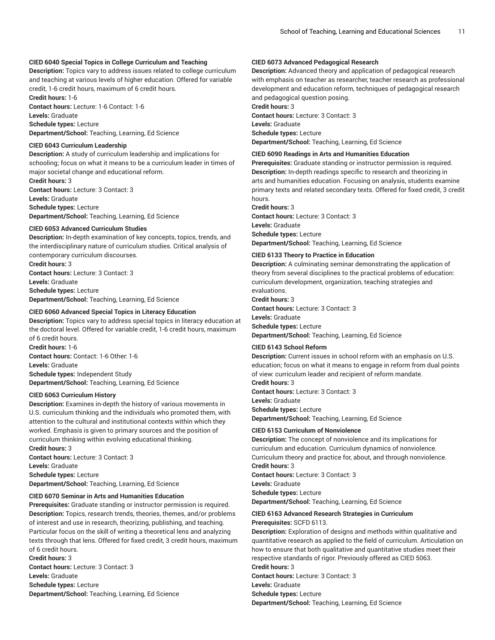### **CIED 6040 Special Topics in College Curriculum and Teaching**

**Description:** Topics vary to address issues related to college curriculum and teaching at various levels of higher education. Offered for variable credit, 1-6 credit hours, maximum of 6 credit hours.

**Credit hours:** 1-6 **Contact hours:** Lecture: 1-6 Contact: 1-6 **Levels:** Graduate **Schedule types:** Lecture

**Department/School:** Teaching, Learning, Ed Science

### **CIED 6043 Curriculum Leadership**

**Description:** A study of curriculum leadership and implications for schooling; focus on what it means to be a curriculum leader in times of major societal change and educational reform. **Credit hours:** 3

**Contact hours:** Lecture: 3 Contact: 3 **Levels:** Graduate **Schedule types:** Lecture **Department/School:** Teaching, Learning, Ed Science

#### **CIED 6053 Advanced Curriculum Studies**

**Description:** In-depth examination of key concepts, topics, trends, and the interdisciplinary nature of curriculum studies. Critical analysis of contemporary curriculum discourses.

**Credit hours:** 3 **Contact hours:** Lecture: 3 Contact: 3 **Levels:** Graduate **Schedule types:** Lecture **Department/School:** Teaching, Learning, Ed Science

#### **CIED 6060 Advanced Special Topics in Literacy Education**

**Description:** Topics vary to address special topics in literacy education at the doctoral level. Offered for variable credit, 1-6 credit hours, maximum of 6 credit hours. **Credit hours:** 1-6 **Contact hours:** Contact: 1-6 Other: 1-6 **Levels:** Graduate

**Schedule types:** Independent Study **Department/School:** Teaching, Learning, Ed Science

### **CIED 6063 Curriculum History**

**Description:** Examines in-depth the history of various movements in U.S. curriculum thinking and the individuals who promoted them, with attention to the cultural and institutional contexts within which they worked. Emphasis is given to primary sources and the position of curriculum thinking within evolving educational thinking. **Credit hours:** 3

**Contact hours:** Lecture: 3 Contact: 3 **Levels:** Graduate **Schedule types:** Lecture **Department/School:** Teaching, Learning, Ed Science

#### **CIED 6070 Seminar in Arts and Humanities Education**

**Prerequisites:** Graduate standing or instructor permission is required. **Description:** Topics, research trends, theories, themes, and/or problems of interest and use in research, theorizing, publishing, and teaching. Particular focus on the skill of writing a theoretical lens and analyzing texts through that lens. Offered for fixed credit, 3 credit hours, maximum of 6 credit hours.

**Credit hours:** 3 **Contact hours:** Lecture: 3 Contact: 3 **Levels:** Graduate **Schedule types:** Lecture **Department/School:** Teaching, Learning, Ed Science

### **CIED 6073 Advanced Pedagogical Research**

**Description:** Advanced theory and application of pedagogical research with emphasis on teacher as researcher, teacher research as professional development and education reform, techniques of pedagogical research and pedagogical question posing.

**Credit hours:** 3 **Contact hours:** Lecture: 3 Contact: 3 **Levels:** Graduate **Schedule types:** Lecture **Department/School:** Teaching, Learning, Ed Science

#### **CIED 6090 Readings in Arts and Humanities Education**

**Prerequisites:** Graduate standing or instructor permission is required. **Description:** In-depth readings specific to research and theorizing in arts and humanities education. Focusing on analysis, students examine primary texts and related secondary texts. Offered for fixed credit, 3 credit hours.

**Credit hours:** 3

**Contact hours:** Lecture: 3 Contact: 3 **Levels:** Graduate **Schedule types:** Lecture **Department/School:** Teaching, Learning, Ed Science

#### **CIED 6133 Theory to Practice in Education**

**Description:** A culminating seminar demonstrating the application of theory from several disciplines to the practical problems of education: curriculum development, organization, teaching strategies and evaluations.

**Credit hours:** 3

**Contact hours:** Lecture: 3 Contact: 3

**Levels:** Graduate

**Schedule types:** Lecture

**Department/School:** Teaching, Learning, Ed Science

#### **CIED 6143 School Reform**

**Description:** Current issues in school reform with an emphasis on U.S. education; focus on what it means to engage in reform from dual points of view: curriculum leader and recipient of reform mandate.

**Credit hours:** 3

**Contact hours:** Lecture: 3 Contact: 3

**Levels:** Graduate **Schedule types:** Lecture

**Department/School:** Teaching, Learning, Ed Science

#### **CIED 6153 Curriculum of Nonviolence**

**Description:** The concept of nonviolence and its implications for curriculum and education. Curriculum dynamics of nonviolence. Curriculum theory and practice for, about, and through nonviolence. **Credit hours:** 3

**Contact hours:** Lecture: 3 Contact: 3

**Levels:** Graduate

**Schedule types:** Lecture

**Department/School:** Teaching, Learning, Ed Science

## **CIED 6163 Advanced Research Strategies in Curriculum**

**Prerequisites:** SCFD 6113.

**Description:** Exploration of designs and methods within qualitative and quantitative research as applied to the field of curriculum. Articulation on how to ensure that both qualitative and quantitative studies meet their respective standards of rigor. Previously offered as CIED 5063.

**Credit hours:** 3

**Contact hours:** Lecture: 3 Contact: 3 **Levels:** Graduate

**Schedule types:** Lecture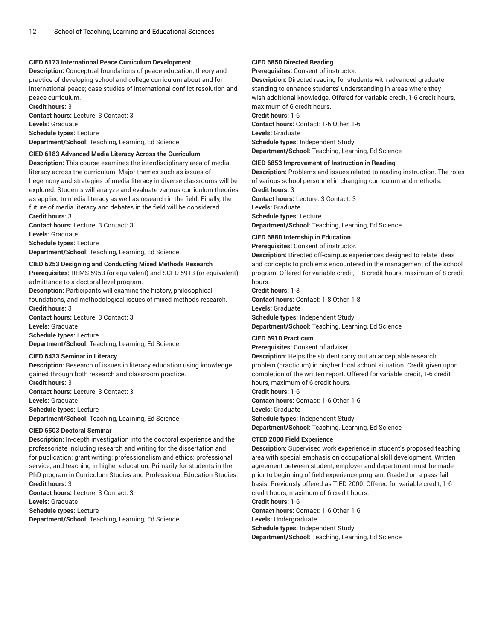### **CIED 6173 International Peace Curriculum Development**

**Description:** Conceptual foundations of peace education; theory and practice of developing school and college curriculum about and for international peace; case studies of international conflict resolution and peace curriculum.

**Credit hours:** 3 **Contact hours:** Lecture: 3 Contact: 3 **Levels:** Graduate **Schedule types:** Lecture **Department/School:** Teaching, Learning, Ed Science

#### **CIED 6183 Advanced Media Literacy Across the Curriculum**

**Description:** This course examines the interdisciplinary area of media literacy across the curriculum. Major themes such as issues of hegemony and strategies of media literacy in diverse classrooms will be explored. Students will analyze and evaluate various curriculum theories as applied to media literacy as well as research in the field. Finally, the future of media literacy and debates in the field will be considered. **Credit hours:** 3

**Contact hours:** Lecture: 3 Contact: 3 **Levels:** Graduate **Schedule types:** Lecture **Department/School:** Teaching, Learning, Ed Science

#### **CIED 6253 Designing and Conducting Mixed Methods Research**

**Prerequisites:** REMS 5953 (or equivalent) and SCFD 5913 (or equivalent); admittance to a doctoral level program.

**Description:** Participants will examine the history, philosophical foundations, and methodological issues of mixed methods research. **Credit hours:** 3

**Contact hours:** Lecture: 3 Contact: 3 **Levels:** Graduate **Schedule types:** Lecture **Department/School:** Teaching, Learning, Ed Science

#### **CIED 6433 Seminar in Literacy**

**Description:** Research of issues in literacy education using knowledge gained through both research and classroom practice.

**Credit hours:** 3 **Contact hours:** Lecture: 3 Contact: 3

**Levels:** Graduate

**Schedule types:** Lecture **Department/School:** Teaching, Learning, Ed Science

#### **CIED 6503 Doctoral Seminar**

**Description:** In-depth investigation into the doctoral experience and the professoriate including research and writing for the dissertation and for publication; grant writing; professionalism and ethics; professional service; and teaching in higher education. Primarily for students in the PhD program in Curriculum Studies and Professional Education Studies. **Credit hours:** 3

**Contact hours:** Lecture: 3 Contact: 3 **Levels:** Graduate **Schedule types:** Lecture **Department/School:** Teaching, Learning, Ed Science

### **CIED 6850 Directed Reading**

**Prerequisites:** Consent of instructor.

**Description:** Directed reading for students with advanced graduate standing to enhance students' understanding in areas where they wish additional knowledge. Offered for variable credit, 1-6 credit hours, maximum of 6 credit hours.

**Credit hours:** 1-6

**Contact hours:** Contact: 1-6 Other: 1-6

**Levels:** Graduate **Schedule types:** Independent Study

**Department/School:** Teaching, Learning, Ed Science

#### **CIED 6853 Improvement of Instruction in Reading**

**Description:** Problems and issues related to reading instruction. The roles of various school personnel in changing curriculum and methods.

**Credit hours:** 3 **Contact hours:** Lecture: 3 Contact: 3 **Levels:** Graduate **Schedule types:** Lecture **Department/School:** Teaching, Learning, Ed Science

#### **CIED 6880 Internship in Education**

**Prerequisites:** Consent of instructor.

**Description:** Directed off-campus experiences designed to relate ideas and concepts to problems encountered in the management of the school program. Offered for variable credit, 1-8 credit hours, maximum of 8 credit hours.

### **Credit hours:** 1-8

**Contact hours:** Contact: 1-8 Other: 1-8 **Levels:** Graduate

**Schedule types:** Independent Study **Department/School:** Teaching, Learning, Ed Science

#### **CIED 6910 Practicum**

**Prerequisites:** Consent of adviser.

**Description:** Helps the student carry out an acceptable research problem (practicum) in his/her local school situation. Credit given upon completion of the written report. Offered for variable credit, 1-6 credit hours, maximum of 6 credit hours.

**Credit hours:** 1-6

**Contact hours:** Contact: 1-6 Other: 1-6 **Levels:** Graduate **Schedule types:** Independent Study **Department/School:** Teaching, Learning, Ed Science

#### **CTED 2000 Field Experience**

**Description:** Supervised work experience in student's proposed teaching area with special emphasis on occupational skill development. Written agreement between student, employer and department must be made prior to beginning of field experience program. Graded on a pass-fail basis. Previously offered as TIED 2000. Offered for variable credit, 1-6 credit hours, maximum of 6 credit hours.

**Credit hours:** 1-6

**Contact hours:** Contact: 1-6 Other: 1-6

**Levels:** Undergraduate

**Schedule types:** Independent Study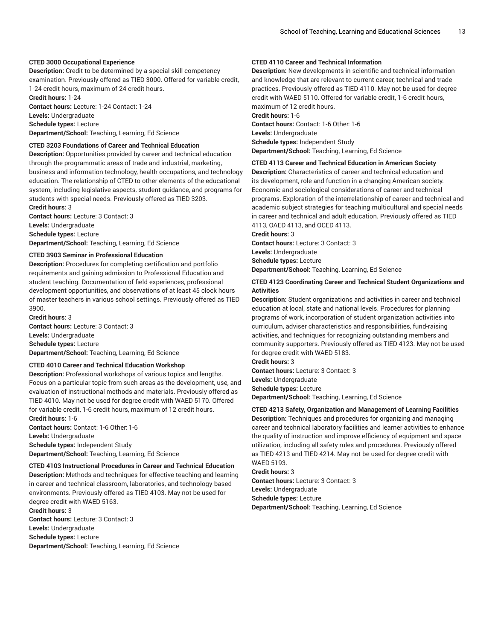### **CTED 3000 Occupational Experience**

**Description:** Credit to be determined by a special skill competency examination. Previously offered as TIED 3000. Offered for variable credit, 1-24 credit hours, maximum of 24 credit hours.

**Credit hours:** 1-24 **Contact hours:** Lecture: 1-24 Contact: 1-24 **Levels:** Undergraduate **Schedule types:** Lecture

**Department/School:** Teaching, Learning, Ed Science

### **CTED 3203 Foundations of Career and Technical Education**

**Description:** Opportunities provided by career and technical education through the programmatic areas of trade and industrial, marketing, business and information technology, health occupations, and technology education. The relationship of CTED to other elements of the educational system, including legislative aspects, student guidance, and programs for students with special needs. Previously offered as TIED 3203. **Credit hours:** 3

**Contact hours:** Lecture: 3 Contact: 3 **Levels:** Undergraduate **Schedule types:** Lecture

**Department/School:** Teaching, Learning, Ed Science

#### **CTED 3903 Seminar in Professional Education**

**Description:** Procedures for completing certification and portfolio requirements and gaining admission to Professional Education and student teaching. Documentation of field experiences, professional development opportunities, and observations of at least 45 clock hours of master teachers in various school settings. Previously offered as TIED 3900.

**Credit hours:** 3 **Contact hours:** Lecture: 3 Contact: 3 **Levels:** Undergraduate **Schedule types:** Lecture **Department/School:** Teaching, Learning, Ed Science

#### **CTED 4010 Career and Technical Education Workshop**

**Description:** Professional workshops of various topics and lengths. Focus on a particular topic from such areas as the development, use, and evaluation of instructional methods and materials. Previously offered as TIED 4010. May not be used for degree credit with WAED 5170. Offered for variable credit, 1-6 credit hours, maximum of 12 credit hours. **Credit hours:** 1-6

**Contact hours:** Contact: 1-6 Other: 1-6 **Levels:** Undergraduate **Schedule types:** Independent Study **Department/School:** Teaching, Learning, Ed Science

**CTED 4103 Instructional Procedures in Career and Technical Education**

**Description:** Methods and techniques for effective teaching and learning in career and technical classroom, laboratories, and technology-based environments. Previously offered as TIED 4103. May not be used for degree credit with WAED 5163. **Credit hours:** 3

**Contact hours:** Lecture: 3 Contact: 3 **Levels:** Undergraduate **Schedule types:** Lecture **Department/School:** Teaching, Learning, Ed Science

### **CTED 4110 Career and Technical Information**

**Description:** New developments in scientific and technical information and knowledge that are relevant to current career, technical and trade practices. Previously offered as TIED 4110. May not be used for degree credit with WAED 5110. Offered for variable credit, 1-6 credit hours, maximum of 12 credit hours. **Credit hours:** 1-6 **Contact hours:** Contact: 1-6 Other: 1-6 **Levels:** Undergraduate

**Schedule types:** Independent Study

**Department/School:** Teaching, Learning, Ed Science

#### **CTED 4113 Career and Technical Education in American Society**

**Description:** Characteristics of career and technical education and its development, role and function in a changing American society. Economic and sociological considerations of career and technical programs. Exploration of the interrelationship of career and technical and academic subject strategies for teaching multicultural and special needs in career and technical and adult education. Previously offered as TIED 4113, OAED 4113, and OCED 4113.

**Credit hours:** 3

**Contact hours:** Lecture: 3 Contact: 3

**Levels:** Undergraduate

**Schedule types:** Lecture

**Department/School:** Teaching, Learning, Ed Science

#### **CTED 4123 Coordinating Career and Technical Student Organizations and Activities**

**Description:** Student organizations and activities in career and technical education at local, state and national levels. Procedures for planning programs of work, incorporation of student organization activities into curriculum, adviser characteristics and responsibilities, fund-raising activities, and techniques for recognizing outstanding members and community supporters. Previously offered as TIED 4123. May not be used for degree credit with WAED 5183.

**Credit hours:** 3

**Contact hours:** Lecture: 3 Contact: 3 **Levels:** Undergraduate **Schedule types:** Lecture

**Department/School:** Teaching, Learning, Ed Science

### **CTED 4213 Safety, Organization and Management of Learning Facilities Description:** Techniques and procedures for organizing and managing career and technical laboratory facilities and learner activities to enhance the quality of instruction and improve efficiency of equipment and space utilization, including all safety rules and procedures. Previously offered as TIED 4213 and TIED 4214. May not be used for degree credit with

WAED 5193. **Credit hours:** 3 **Contact hours:** Lecture: 3 Contact: 3 **Levels:** Undergraduate **Schedule types:** Lecture **Department/School:** Teaching, Learning, Ed Science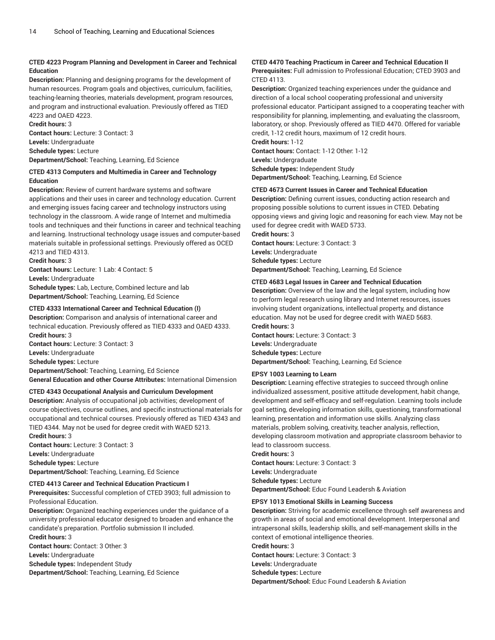### **CTED 4223 Program Planning and Development in Career and Technical Education**

**Description:** Planning and designing programs for the development of human resources. Program goals and objectives, curriculum, facilities, teaching-learning theories, materials development, program resources, and program and instructional evaluation. Previously offered as TIED 4223 and OAED 4223.

**Credit hours:** 3 **Contact hours:** Lecture: 3 Contact: 3 **Levels:** Undergraduate **Schedule types:** Lecture **Department/School:** Teaching, Learning, Ed Science

### **CTED 4313 Computers and Multimedia in Career and Technology Education**

**Description:** Review of current hardware systems and software applications and their uses in career and technology education. Current and emerging issues facing career and technology instructors using technology in the classroom. A wide range of Internet and multimedia tools and techniques and their functions in career and technical teaching and learning. Instructional technology usage issues and computer-based materials suitable in professional settings. Previously offered as OCED 4213 and TIED 4313.

**Credit hours:** 3

**Contact hours:** Lecture: 1 Lab: 4 Contact: 5 **Levels:** Undergraduate

**Schedule types:** Lab, Lecture, Combined lecture and lab **Department/School:** Teaching, Learning, Ed Science

### **CTED 4333 International Career and Technical Education (I)**

**Description:** Comparison and analysis of international career and technical education. Previously offered as TIED 4333 and OAED 4333. **Credit hours:** 3 **Contact hours:** Lecture: 3 Contact: 3

**Levels:** Undergraduate **Schedule types:** Lecture **Department/School:** Teaching, Learning, Ed Science **General Education and other Course Attributes:** International Dimension

### **CTED 4343 Occupational Analysis and Curriculum Development**

**Description:** Analysis of occupational job activities; development of course objectives, course outlines, and specific instructional materials for occupational and technical courses. Previously offered as TIED 4343 and TIED 4344. May not be used for degree credit with WAED 5213. **Credit hours:** 3

**Contact hours:** Lecture: 3 Contact: 3 **Levels:** Undergraduate **Schedule types:** Lecture **Department/School:** Teaching, Learning, Ed Science

### **CTED 4413 Career and Technical Education Practicum I**

**Prerequisites:** Successful completion of CTED 3903; full admission to Professional Education.

**Description:** Organized teaching experiences under the guidance of a university professional educator designed to broaden and enhance the candidate's preparation. Portfolio submission II included. **Credit hours:** 3

**Contact hours:** Contact: 3 Other: 3

**Levels:** Undergraduate

**Schedule types:** Independent Study

**Department/School:** Teaching, Learning, Ed Science

## **CTED 4470 Teaching Practicum in Career and Technical Education II**

**Prerequisites:** Full admission to Professional Education; CTED 3903 and CTED 4113.

**Description:** Organized teaching experiences under the guidance and direction of a local school cooperating professional and university professional educator. Participant assigned to a cooperating teacher with responsibility for planning, implementing, and evaluating the classroom, laboratory, or shop. Previously offered as TIED 4470. Offered for variable credit, 1-12 credit hours, maximum of 12 credit hours.

**Credit hours:** 1-12

**Contact hours:** Contact: 1-12 Other: 1-12 **Levels:** Undergraduate **Schedule types:** Independent Study

**Department/School:** Teaching, Learning, Ed Science

### **CTED 4673 Current Issues in Career and Technical Education**

**Description:** Defining current issues, conducting action research and proposing possible solutions to current issues in CTED. Debating opposing views and giving logic and reasoning for each view. May not be used for degree credit with WAED 5733.

**Credit hours:** 3

**Contact hours:** Lecture: 3 Contact: 3 **Levels:** Undergraduate **Schedule types:** Lecture **Department/School:** Teaching, Learning, Ed Science

### **CTED 4683 Legal Issues in Career and Technical Education**

**Description:** Overview of the law and the legal system, including how to perform legal research using library and Internet resources, issues involving student organizations, intellectual property, and distance education. May not be used for degree credit with WAED 5683. **Credit hours:** 3

**Contact hours:** Lecture: 3 Contact: 3 **Levels:** Undergraduate **Schedule types:** Lecture **Department/School:** Teaching, Learning, Ed Science

### **EPSY 1003 Learning to Learn**

**Description:** Learning effective strategies to succeed through online individualized assessment, positive attitude development, habit change, development and self-efficacy and self-regulation. Learning tools include goal setting, developing information skills, questioning, transformational learning, presentation and information use skills. Analyzing class materials, problem solving, creativity, teacher analysis, reflection, developing classroom motivation and appropriate classroom behavior to lead to classroom success.

**Credit hours:** 3

**Contact hours:** Lecture: 3 Contact: 3 **Levels:** Undergraduate **Schedule types:** Lecture **Department/School:** Educ Found Leadersh & Aviation

### **EPSY 1013 Emotional Skills in Learning Success**

**Description:** Striving for academic excellence through self awareness and growth in areas of social and emotional development. Interpersonal and intrapersonal skills, leadership skills, and self-management skills in the context of emotional intelligence theories. **Credit hours:** 3

**Contact hours:** Lecture: 3 Contact: 3 **Levels:** Undergraduate **Schedule types:** Lecture **Department/School:** Educ Found Leadersh & Aviation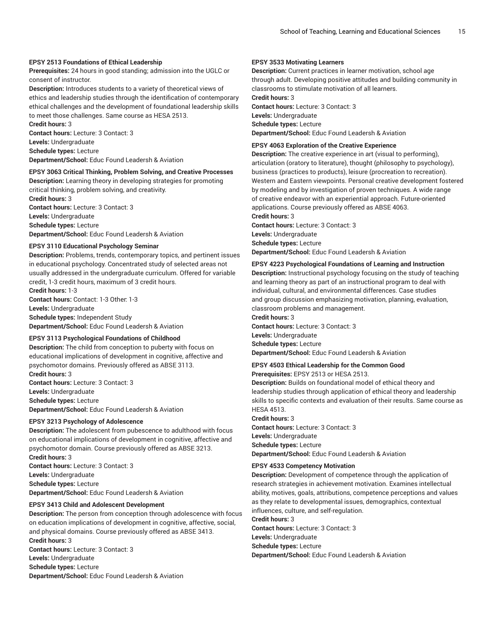### **EPSY 2513 Foundations of Ethical Leadership**

**Prerequisites:** 24 hours in good standing; admission into the UGLC or consent of instructor.

**Description:** Introduces students to a variety of theoretical views of ethics and leadership studies through the identification of contemporary ethical challenges and the development of foundational leadership skills to meet those challenges. Same course as HESA 2513.

**Credit hours:** 3 **Contact hours:** Lecture: 3 Contact: 3 **Levels:** Undergraduate

**Schedule types:** Lecture

**Department/School:** Educ Found Leadersh & Aviation

### **EPSY 3063 Critical Thinking, Problem Solving, and Creative Processes Description:** Learning theory in developing strategies for promoting

critical thinking, problem solving, and creativity.

**Credit hours:** 3 **Contact hours:** Lecture: 3 Contact: 3 **Levels:** Undergraduate **Schedule types:** Lecture **Department/School:** Educ Found Leadersh & Aviation

#### **EPSY 3110 Educational Psychology Seminar**

**Description:** Problems, trends, contemporary topics, and pertinent issues in educational psychology. Concentrated study of selected areas not usually addressed in the undergraduate curriculum. Offered for variable credit, 1-3 credit hours, maximum of 3 credit hours.

**Credit hours:** 1-3 **Contact hours:** Contact: 1-3 Other: 1-3 **Levels:** Undergraduate **Schedule types:** Independent Study **Department/School:** Educ Found Leadersh & Aviation

#### **EPSY 3113 Psychological Foundations of Childhood**

**Description:** The child from conception to puberty with focus on educational implications of development in cognitive, affective and psychomotor domains. Previously offered as ABSE 3113. **Credit hours:** 3

**Contact hours:** Lecture: 3 Contact: 3 **Levels:** Undergraduate **Schedule types:** Lecture **Department/School:** Educ Found Leadersh & Aviation

#### **EPSY 3213 Psychology of Adolescence**

**Description:** The adolescent from pubescence to adulthood with focus on educational implications of development in cognitive, affective and psychomotor domain. Course previously offered as ABSE 3213. **Credit hours:** 3

**Contact hours:** Lecture: 3 Contact: 3 **Levels:** Undergraduate **Schedule types:** Lecture **Department/School:** Educ Found Leadersh & Aviation

#### **EPSY 3413 Child and Adolescent Development**

**Description:** The person from conception through adolescence with focus on education implications of development in cognitive, affective, social, and physical domains. Course previously offered as ABSE 3413. **Credit hours:** 3 **Contact hours:** Lecture: 3 Contact: 3 **Levels:** Undergraduate **Schedule types:** Lecture

**Department/School:** Educ Found Leadersh & Aviation

## **EPSY 3533 Motivating Learners**

**Description:** Current practices in learner motivation, school age through adult. Developing positive attitudes and building community in classrooms to stimulate motivation of all learners.

**Credit hours:** 3

**Contact hours:** Lecture: 3 Contact: 3 **Levels:** Undergraduate **Schedule types:** Lecture

**Department/School:** Educ Found Leadersh & Aviation

### **EPSY 4063 Exploration of the Creative Experience**

**Description:** The creative experience in art (visual to performing), articulation (oratory to literature), thought (philosophy to psychology), business (practices to products), leisure (procreation to recreation). Western and Eastern viewpoints. Personal creative development fostered by modeling and by investigation of proven techniques. A wide range of creative endeavor with an experiential approach. Future-oriented applications. Course previously offered as ABSE 4063.

**Credit hours:** 3 **Contact hours:** Lecture: 3 Contact: 3 **Levels:** Undergraduate

**Schedule types:** Lecture **Department/School:** Educ Found Leadersh & Aviation

### **EPSY 4223 Psychological Foundations of Learning and Instruction**

**Description:** Instructional psychology focusing on the study of teaching and learning theory as part of an instructional program to deal with individual, cultural, and environmental differences. Case studies and group discussion emphasizing motivation, planning, evaluation, classroom problems and management.

**Credit hours:** 3

**Contact hours:** Lecture: 3 Contact: 3 **Levels:** Undergraduate **Schedule types:** Lecture **Department/School:** Educ Found Leadersh & Aviation

**EPSY 4503 Ethical Leadership for the Common Good**

**Prerequisites:** EPSY 2513 or HESA 2513.

**Description:** Builds on foundational model of ethical theory and leadership studies through application of ethical theory and leadership skills to specific contexts and evaluation of their results. Same course as HESA 4513.

#### **Credit hours:** 3

**Contact hours:** Lecture: 3 Contact: 3 **Levels:** Undergraduate **Schedule types:** Lecture **Department/School:** Educ Found Leadersh & Aviation

#### **EPSY 4533 Competency Motivation**

**Description:** Development of competence through the application of research strategies in achievement motivation. Examines intellectual ability, motives, goals, attributions, competence perceptions and values as they relate to developmental issues, demographics, contextual influences, culture, and self-regulation.

#### **Credit hours:** 3

**Contact hours:** Lecture: 3 Contact: 3 **Levels:** Undergraduate **Schedule types:** Lecture **Department/School:** Educ Found Leadersh & Aviation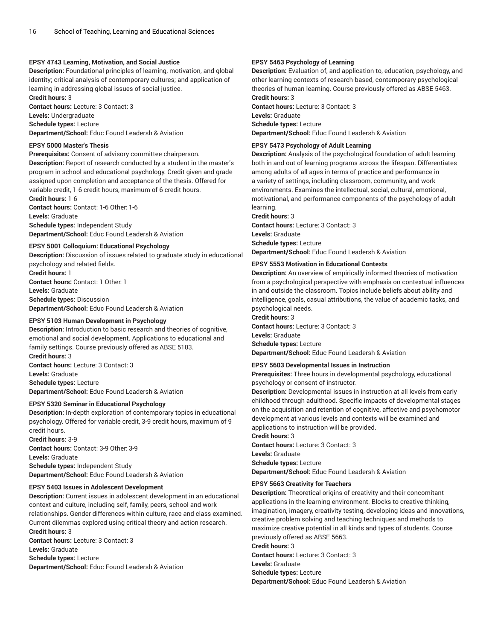### **EPSY 4743 Learning, Motivation, and Social Justice**

**Description:** Foundational principles of learning, motivation, and global identity; critical analysis of contemporary cultures; and application of learning in addressing global issues of social justice.

**Credit hours:** 3 **Contact hours:** Lecture: 3 Contact: 3 **Levels:** Undergraduate **Schedule types:** Lecture

**Department/School:** Educ Found Leadersh & Aviation

### **EPSY 5000 Master's Thesis**

**Prerequisites:** Consent of advisory committee chairperson.

**Description:** Report of research conducted by a student in the master's program in school and educational psychology. Credit given and grade assigned upon completion and acceptance of the thesis. Offered for variable credit, 1-6 credit hours, maximum of 6 credit hours.

**Credit hours:** 1-6 **Contact hours:** Contact: 1-6 Other: 1-6 **Levels:** Graduate **Schedule types:** Independent Study **Department/School:** Educ Found Leadersh & Aviation

#### **EPSY 5001 Colloquium: Educational Psychology**

**Description:** Discussion of issues related to graduate study in educational psychology and related fields. **Credit hours:** 1 **Contact hours:** Contact: 1 Other: 1 **Levels:** Graduate **Schedule types:** Discussion **Department/School:** Educ Found Leadersh & Aviation

#### **EPSY 5103 Human Development in Psychology**

**Description:** Introduction to basic research and theories of cognitive, emotional and social development. Applications to educational and family settings. Course previously offered as ABSE 5103. **Credit hours:** 3 **Contact hours:** Lecture: 3 Contact: 3 **Levels:** Graduate **Schedule types:** Lecture **Department/School:** Educ Found Leadersh & Aviation

#### **EPSY 5320 Seminar in Educational Psychology**

**Description:** In-depth exploration of contemporary topics in educational psychology. Offered for variable credit, 3-9 credit hours, maximum of 9 credit hours.

**Credit hours:** 3-9 **Contact hours:** Contact: 3-9 Other: 3-9 **Levels:** Graduate **Schedule types:** Independent Study **Department/School:** Educ Found Leadersh & Aviation

#### **EPSY 5403 Issues in Adolescent Development**

**Description:** Current issues in adolescent development in an educational context and culture, including self, family, peers, school and work relationships. Gender differences within culture, race and class examined. Current dilemmas explored using critical theory and action research. **Credit hours:** 3

**Contact hours:** Lecture: 3 Contact: 3 **Levels:** Graduate **Schedule types:** Lecture **Department/School:** Educ Found Leadersh & Aviation

#### **EPSY 5463 Psychology of Learning**

**Description:** Evaluation of, and application to, education, psychology, and other learning contexts of research-based, contemporary psychological theories of human learning. Course previously offered as ABSE 5463. **Credit hours:** 3

**Contact hours:** Lecture: 3 Contact: 3 **Levels:** Graduate **Schedule types:** Lecture

**Department/School:** Educ Found Leadersh & Aviation

### **EPSY 5473 Psychology of Adult Learning**

**Description:** Analysis of the psychological foundation of adult learning both in and out of learning programs across the lifespan. Differentiates among adults of all ages in terms of practice and performance in a variety of settings, including classroom, community, and work environments. Examines the intellectual, social, cultural, emotional, motivational, and performance components of the psychology of adult learning.

**Credit hours:** 3

**Contact hours:** Lecture: 3 Contact: 3 **Levels:** Graduate **Schedule types:** Lecture **Department/School:** Educ Found Leadersh & Aviation

#### **EPSY 5553 Motivation in Educational Contexts**

**Description:** An overview of empirically informed theories of motivation from a psychological perspective with emphasis on contextual influences in and outside the classroom. Topics include beliefs about ability and intelligence, goals, casual attributions, the value of academic tasks, and psychological needs.

#### **Credit hours:** 3

**Contact hours:** Lecture: 3 Contact: 3 **Levels:** Graduate **Schedule types:** Lecture **Department/School:** Educ Found Leadersh & Aviation

#### **EPSY 5603 Developmental Issues in Instruction**

**Prerequisites:** Three hours in developmental psychology, educational psychology or consent of instructor.

**Description:** Developmental issues in instruction at all levels from early childhood through adulthood. Specific impacts of developmental stages on the acquisition and retention of cognitive, affective and psychomotor development at various levels and contexts will be examined and applications to instruction will be provided.

**Credit hours:** 3

**Contact hours:** Lecture: 3 Contact: 3 **Levels:** Graduate **Schedule types:** Lecture

**Department/School:** Educ Found Leadersh & Aviation

#### **EPSY 5663 Creativity for Teachers**

**Description:** Theoretical origins of creativity and their concomitant applications in the learning environment. Blocks to creative thinking, imagination, imagery, creativity testing, developing ideas and innovations, creative problem solving and teaching techniques and methods to maximize creative potential in all kinds and types of students. Course previously offered as ABSE 5663.

**Credit hours:** 3

**Contact hours:** Lecture: 3 Contact: 3

**Levels:** Graduate

**Schedule types:** Lecture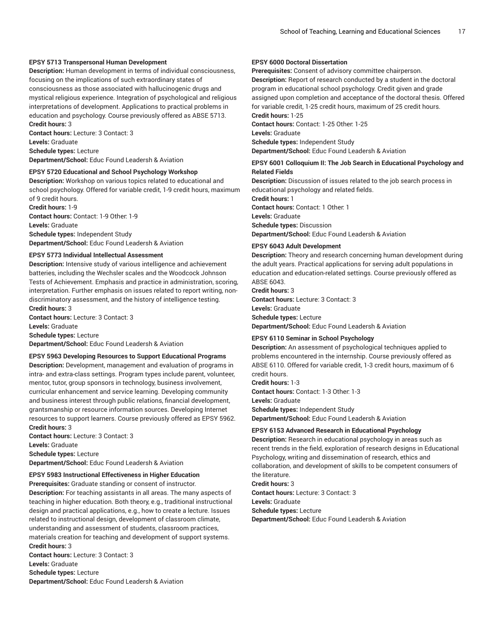#### **EPSY 5713 Transpersonal Human Development**

**Description:** Human development in terms of individual consciousness, focusing on the implications of such extraordinary states of consciousness as those associated with hallucinogenic drugs and mystical religious experience. Integration of psychological and religious interpretations of development. Applications to practical problems in education and psychology. Course previously offered as ABSE 5713. **Credit hours:** 3

**Contact hours:** Lecture: 3 Contact: 3 **Levels:** Graduate **Schedule types:** Lecture

**Department/School:** Educ Found Leadersh & Aviation

#### **EPSY 5720 Educational and School Psychology Workshop**

**Description:** Workshop on various topics related to educational and school psychology. Offered for variable credit, 1-9 credit hours, maximum of 9 credit hours.

**Credit hours:** 1-9 **Contact hours:** Contact: 1-9 Other: 1-9 **Levels:** Graduate **Schedule types:** Independent Study **Department/School:** Educ Found Leadersh & Aviation

#### **EPSY 5773 Individual Intellectual Assessment**

**Description:** Intensive study of various intelligence and achievement batteries, including the Wechsler scales and the Woodcock Johnson Tests of Achievement. Emphasis and practice in administration, scoring, interpretation. Further emphasis on issues related to report writing, nondiscriminatory assessment, and the history of intelligence testing. **Credit hours:** 3

**Contact hours:** Lecture: 3 Contact: 3 **Levels:** Graduate **Schedule types:** Lecture

**Department/School:** Educ Found Leadersh & Aviation

#### **EPSY 5963 Developing Resources to Support Educational Programs**

**Description:** Development, management and evaluation of programs in intra- and extra-class settings. Program types include parent, volunteer, mentor, tutor, group sponsors in technology, business involvement, curricular enhancement and service learning. Developing community and business interest through public relations, financial development, grantsmanship or resource information sources. Developing Internet resources to support learners. Course previously offered as EPSY 5962. **Credit hours:** 3

**Contact hours:** Lecture: 3 Contact: 3 **Levels:** Graduate **Schedule types:** Lecture **Department/School:** Educ Found Leadersh & Aviation

### **EPSY 5983 Instructional Effectiveness in Higher Education**

**Prerequisites:** Graduate standing or consent of instructor. **Description:** For teaching assistants in all areas. The many aspects of teaching in higher education. Both theory, e.g., traditional instructional design and practical applications, e.g., how to create a lecture. Issues related to instructional design, development of classroom climate, understanding and assessment of students, classroom practices, materials creation for teaching and development of support systems. **Credit hours:** 3

**Contact hours:** Lecture: 3 Contact: 3 **Levels:** Graduate **Schedule types:** Lecture **Department/School:** Educ Found Leadersh & Aviation

### **EPSY 6000 Doctoral Dissertation**

**Prerequisites:** Consent of advisory committee chairperson.

**Description:** Report of research conducted by a student in the doctoral program in educational school psychology. Credit given and grade assigned upon completion and acceptance of the doctoral thesis. Offered for variable credit, 1-25 credit hours, maximum of 25 credit hours. **Credit hours:** 1-25

**Contact hours:** Contact: 1-25 Other: 1-25

**Levels:** Graduate

**Schedule types:** Independent Study

**Department/School:** Educ Found Leadersh & Aviation

#### **EPSY 6001 Colloquium II: The Job Search in Educational Psychology and Related Fields**

**Description:** Discussion of issues related to the job search process in educational psychology and related fields. **Credit hours:** 1

**Contact hours:** Contact: 1 Other: 1 **Levels:** Graduate **Schedule types:** Discussion **Department/School:** Educ Found Leadersh & Aviation

#### **EPSY 6043 Adult Development**

**Description:** Theory and research concerning human development during the adult years. Practical applications for serving adult populations in education and education-related settings. Course previously offered as ABSE 6043.

**Credit hours:** 3

**Contact hours:** Lecture: 3 Contact: 3

**Levels:** Graduate **Schedule types:** Lecture

**Department/School:** Educ Found Leadersh & Aviation

#### **EPSY 6110 Seminar in School Psychology**

**Description:** An assessment of psychological techniques applied to problems encountered in the internship. Course previously offered as ABSE 6110. Offered for variable credit, 1-3 credit hours, maximum of 6 credit hours. **Credit hours:** 1-3

**Contact hours:** Contact: 1-3 Other: 1-3

**Levels:** Graduate

**Schedule types:** Independent Study

**Department/School:** Educ Found Leadersh & Aviation

#### **EPSY 6153 Advanced Research in Educational Psychology**

**Description:** Research in educational psychology in areas such as recent trends in the field, exploration of research designs in Educational Psychology, writing and dissemination of research, ethics and collaboration, and development of skills to be competent consumers of the literature. **Credit hours:** 3

**Contact hours:** Lecture: 3 Contact: 3 **Levels:** Graduate **Schedule types:** Lecture **Department/School:** Educ Found Leadersh & Aviation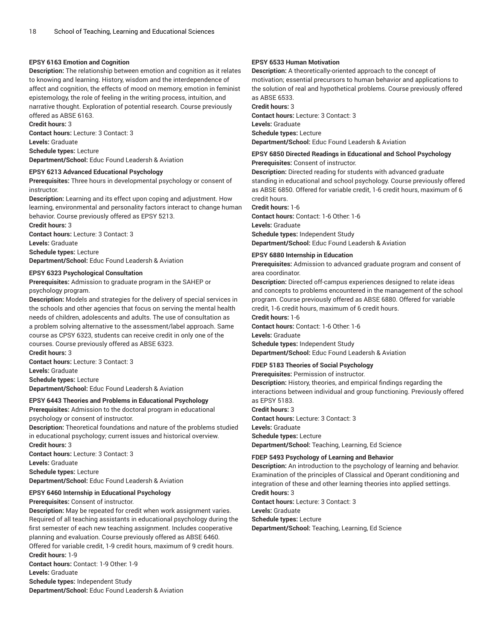### **EPSY 6163 Emotion and Cognition**

**Description:** The relationship between emotion and cognition as it relates to knowing and learning. History, wisdom and the interdependence of affect and cognition, the effects of mood on memory, emotion in feminist epistemology, the role of feeling in the writing process, intuition, and narrative thought. Exploration of potential research. Course previously offered as ABSE 6163.

### **Credit hours:** 3

**Contact hours:** Lecture: 3 Contact: 3 **Levels:** Graduate **Schedule types:** Lecture

**Department/School:** Educ Found Leadersh & Aviation

#### **EPSY 6213 Advanced Educational Psychology**

**Prerequisites:** Three hours in developmental psychology or consent of instructor.

**Description:** Learning and its effect upon coping and adjustment. How learning, environmental and personality factors interact to change human behavior. Course previously offered as EPSY 5213.

**Credit hours:** 3 **Contact hours:** Lecture: 3 Contact: 3 **Levels:** Graduate

**Schedule types:** Lecture

**Department/School:** Educ Found Leadersh & Aviation

#### **EPSY 6323 Psychological Consultation**

**Prerequisites:** Admission to graduate program in the SAHEP or psychology program.

**Description:** Models and strategies for the delivery of special services in the schools and other agencies that focus on serving the mental health needs of children, adolescents and adults. The use of consultation as a problem solving alternative to the assessment/label approach. Same course as CPSY 6323, students can receive credit in only one of the courses. Course previously offered as ABSE 6323. **Credit hours:** 3

**Contact hours:** Lecture: 3 Contact: 3 **Levels:** Graduate **Schedule types:** Lecture

**Department/School:** Educ Found Leadersh & Aviation

### **EPSY 6443 Theories and Problems in Educational Psychology**

**Prerequisites:** Admission to the doctoral program in educational psychology or consent of instructor.

**Description:** Theoretical foundations and nature of the problems studied in educational psychology; current issues and historical overview. **Credit hours:** 3

**Contact hours:** Lecture: 3 Contact: 3

**Levels:** Graduate

**Schedule types:** Lecture

**Department/School:** Educ Found Leadersh & Aviation

### **EPSY 6460 Internship in Educational Psychology**

**Prerequisites:** Consent of instructor.

**Description:** May be repeated for credit when work assignment varies. Required of all teaching assistants in educational psychology during the first semester of each new teaching assignment. Includes cooperative planning and evaluation. Course previously offered as ABSE 6460. Offered for variable credit, 1-9 credit hours, maximum of 9 credit hours.

**Credit hours:** 1-9

**Contact hours:** Contact: 1-9 Other: 1-9

**Levels:** Graduate

**Schedule types:** Independent Study **Department/School:** Educ Found Leadersh & Aviation

### **EPSY 6533 Human Motivation**

**Description:** A theoretically-oriented approach to the concept of motivation; essential precursors to human behavior and applications to the solution of real and hypothetical problems. Course previously offered as ABSE 6533.

**Credit hours:** 3

**Contact hours:** Lecture: 3 Contact: 3 **Levels:** Graduate **Schedule types:** Lecture **Department/School:** Educ Found Leadersh & Aviation

# **EPSY 6850 Directed Readings in Educational and School Psychology**

**Prerequisites:** Consent of instructor.

**Description:** Directed reading for students with advanced graduate standing in educational and school psychology. Course previously offered as ABSE 6850. Offered for variable credit, 1-6 credit hours, maximum of 6 credit hours.

**Credit hours:** 1-6 **Contact hours:** Contact: 1-6 Other: 1-6 **Levels:** Graduate **Schedule types:** Independent Study **Department/School:** Educ Found Leadersh & Aviation

**EPSY 6880 Internship in Education**

**Prerequisites:** Admission to advanced graduate program and consent of area coordinator.

**Description:** Directed off-campus experiences designed to relate ideas and concepts to problems encountered in the management of the school program. Course previously offered as ABSE 6880. Offered for variable credit, 1-6 credit hours, maximum of 6 credit hours.

**Credit hours:** 1-6

**Contact hours:** Contact: 1-6 Other: 1-6

**Levels:** Graduate

**Schedule types:** Independent Study **Department/School:** Educ Found Leadersh & Aviation

#### **FDEP 5183 Theories of Social Psychology**

**Prerequisites:** Permission of instructor.

**Description:** History, theories, and empirical findings regarding the interactions between individual and group functioning. Previously offered as EPSY 5183.

**Credit hours:** 3

**Contact hours:** Lecture: 3 Contact: 3

**Levels:** Graduate

**Schedule types:** Lecture

**Department/School:** Teaching, Learning, Ed Science

### **FDEP 5493 Psychology of Learning and Behavior**

**Description:** An introduction to the psychology of learning and behavior. Examination of the principles of Classical and Operant conditioning and integration of these and other learning theories into applied settings. **Credit hours:** 3

**Contact hours:** Lecture: 3 Contact: 3 **Levels:** Graduate

**Schedule types:** Lecture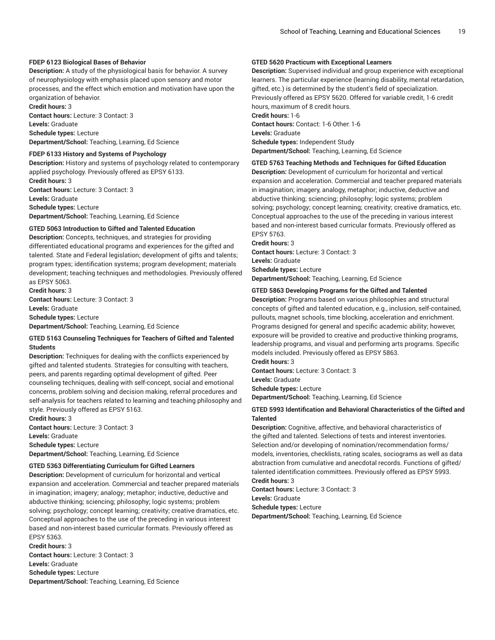### **FDEP 6123 Biological Bases of Behavior**

**Description:** A study of the physiological basis for behavior. A survey of neurophysiology with emphasis placed upon sensory and motor processes, and the effect which emotion and motivation have upon the organization of behavior.

**Credit hours:** 3 **Contact hours:** Lecture: 3 Contact: 3 **Levels:** Graduate **Schedule types:** Lecture **Department/School:** Teaching, Learning, Ed Science

#### **FDEP 6133 History and Systems of Psychology**

**Description:** History and systems of psychology related to contemporary applied psychology. Previously offered as EPSY 6133. **Credit hours:** 3 **Contact hours:** Lecture: 3 Contact: 3 **Levels:** Graduate **Schedule types:** Lecture

**Department/School:** Teaching, Learning, Ed Science

### **GTED 5063 Introduction to Gifted and Talented Education**

**Description:** Concepts, techniques, and strategies for providing differentiated educational programs and experiences for the gifted and talented. State and Federal legislation; development of gifts and talents; program types; identification systems; program development; materials development; teaching techniques and methodologies. Previously offered as EPSY 5063.

**Credit hours:** 3 **Contact hours:** Lecture: 3 Contact: 3 **Levels:** Graduate **Schedule types:** Lecture **Department/School:** Teaching, Learning, Ed Science

### **GTED 5163 Counseling Techniques for Teachers of Gifted and Talented Students**

**Description:** Techniques for dealing with the conflicts experienced by gifted and talented students. Strategies for consulting with teachers, peers, and parents regarding optimal development of gifted. Peer counseling techniques, dealing with self-concept, social and emotional concerns, problem solving and decision making, referral procedures and self-analysis for teachers related to learning and teaching philosophy and style. Previously offered as EPSY 5163.

**Credit hours:** 3 **Contact hours:** Lecture: 3 Contact: 3 **Levels:** Graduate **Schedule types:** Lecture **Department/School:** Teaching, Learning, Ed Science

#### **GTED 5363 Differentiating Curriculum for Gifted Learners**

**Description:** Development of curriculum for horizontal and vertical expansion and acceleration. Commercial and teacher prepared materials in imagination; imagery; analogy; metaphor; inductive, deductive and abductive thinking; sciencing; philosophy; logic systems; problem solving; psychology; concept learning; creativity; creative dramatics, etc. Conceptual approaches to the use of the preceding in various interest based and non-interest based curricular formats. Previously offered as EPSY 5363.

#### **Credit hours:** 3

**Contact hours:** Lecture: 3 Contact: 3 **Levels:** Graduate **Schedule types:** Lecture **Department/School:** Teaching, Learning, Ed Science

### **GTED 5620 Practicum with Exceptional Learners**

**Description:** Supervised individual and group experience with exceptional learners. The particular experience (learning disability, mental retardation, gifted, etc.) is determined by the student's field of specialization.

Previously offered as EPSY 5620. Offered for variable credit, 1-6 credit hours, maximum of 8 credit hours.

**Credit hours:** 1-6

**Contact hours:** Contact: 1-6 Other: 1-6 **Levels:** Graduate **Schedule types:** Independent Study **Department/School:** Teaching, Learning, Ed Science

### **GTED 5763 Teaching Methods and Techniques for Gifted Education**

**Description:** Development of curriculum for horizontal and vertical expansion and acceleration. Commercial and teacher prepared materials in imagination; imagery, analogy, metaphor; inductive, deductive and abductive thinking; sciencing; philosophy; logic systems; problem solving; psychology; concept learning; creativity; creative dramatics, etc. Conceptual approaches to the use of the preceding in various interest based and non-interest based curricular formats. Previously offered as EPSY 5763.

**Credit hours:** 3 **Contact hours:** Lecture: 3 Contact: 3 **Levels:** Graduate **Schedule types:** Lecture **Department/School:** Teaching, Learning, Ed Science

#### **GTED 5863 Developing Programs for the Gifted and Talented**

**Description:** Programs based on various philosophies and structural concepts of gifted and talented education, e.g., inclusion, self-contained, pullouts, magnet schools, time blocking, acceleration and enrichment. Programs designed for general and specific academic ability; however, exposure will be provided to creative and productive thinking programs, leadership programs, and visual and performing arts programs. Specific models included. Previously offered as EPSY 5863.

**Credit hours:** 3

**Contact hours:** Lecture: 3 Contact: 3

**Levels:** Graduate

**Schedule types:** Lecture

**Department/School:** Teaching, Learning, Ed Science

### **GTED 5993 Identification and Behavioral Characteristics of the Gifted and Talented**

**Description:** Cognitive, affective, and behavioral characteristics of the gifted and talented. Selections of tests and interest inventories. Selection and/or developing of nomination/recommendation forms/ models, inventories, checklists, rating scales, sociograms as well as data abstraction from cumulative and anecdotal records. Functions of gifted/ talented identification committees. Previously offered as EPSY 5993. **Credit hours:** 3

**Contact hours:** Lecture: 3 Contact: 3 **Levels:** Graduate **Schedule types:** Lecture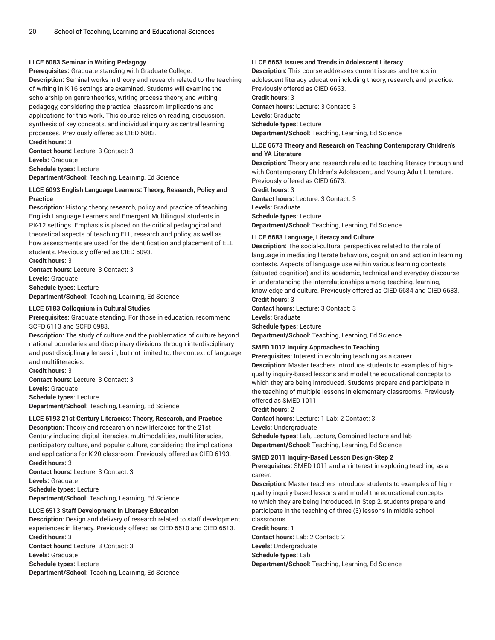### **LLCE 6083 Seminar in Writing Pedagogy**

**Prerequisites:** Graduate standing with Graduate College.

**Description:** Seminal works in theory and research related to the teaching of writing in K-16 settings are examined. Students will examine the scholarship on genre theories, writing process theory, and writing pedagogy, considering the practical classroom implications and applications for this work. This course relies on reading, discussion, synthesis of key concepts, and individual inquiry as central learning processes. Previously offered as CIED 6083. **Credit hours:** 3

**Contact hours:** Lecture: 3 Contact: 3

**Levels:** Graduate

**Schedule types:** Lecture **Department/School:** Teaching, Learning, Ed Science

### **LLCE 6093 English Language Learners: Theory, Research, Policy and Practice**

**Description:** History, theory, research, policy and practice of teaching English Language Learners and Emergent Multilingual students in PK-12 settings. Emphasis is placed on the critical pedagogical and theoretical aspects of teaching ELL, research and policy, as well as how assessments are used for the identification and placement of ELL students. Previously offered as CIED 6093.

**Credit hours:** 3 **Contact hours:** Lecture: 3 Contact: 3

**Levels:** Graduate

**Schedule types:** Lecture

**Department/School:** Teaching, Learning, Ed Science

### **LLCE 6183 Colloquium in Cultural Studies**

**Prerequisites:** Graduate standing. For those in education, recommend SCFD 6113 and SCFD 6983.

**Description:** The study of culture and the problematics of culture beyond national boundaries and disciplinary divisions through interdisciplinary and post-disciplinary lenses in, but not limited to, the context of language and multiliteracies.

**Credit hours:** 3 **Contact hours:** Lecture: 3 Contact: 3 **Levels:** Graduate **Schedule types:** Lecture **Department/School:** Teaching, Learning, Ed Science

**LLCE 6193 21st Century Literacies: Theory, Research, and Practice**

## **Description:** Theory and research on new literacies for the 21st

Century including digital literacies, multimodalities, multi-literacies, participatory culture, and popular culture, considering the implications and applications for K-20 classroom. Previously offered as CIED 6193. **Credit hours:** 3

**Contact hours:** Lecture: 3 Contact: 3 **Levels:** Graduate **Schedule types:** Lecture **Department/School:** Teaching, Learning, Ed Science

#### **LLCE 6513 Staff Development in Literacy Education**

**Description:** Design and delivery of research related to staff development experiences in literacy. Previously offered as CIED 5510 and CIED 6513. **Credit hours:** 3 **Contact hours:** Lecture: 3 Contact: 3

**Levels:** Graduate

**Schedule types:** Lecture

**Department/School:** Teaching, Learning, Ed Science

### **LLCE 6653 Issues and Trends in Adolescent Literacy**

**Description:** This course addresses current issues and trends in adolescent literacy education including theory, research, and practice. Previously offered as CIED 6653.

**Credit hours:** 3

**Contact hours:** Lecture: 3 Contact: 3 **Levels:** Graduate **Schedule types:** Lecture **Department/School:** Teaching, Learning, Ed Science

#### **LLCE 6673 Theory and Research on Teaching Contemporary Children's and YA Literature**

**Description:** Theory and research related to teaching literacy through and with Contemporary Children's Adolescent, and Young Adult Literature. Previously offered as CIED 6673.

**Credit hours:** 3 **Contact hours:** Lecture: 3 Contact: 3

**Levels:** Graduate **Schedule types:** Lecture

**Department/School:** Teaching, Learning, Ed Science

### **LLCE 6683 Language, Literacy and Culture**

**Description:** The social-cultural perspectives related to the role of language in mediating literate behaviors, cognition and action in learning contexts. Aspects of language use within various learning contexts (situated cognition) and its academic, technical and everyday discourse in understanding the interrelationships among teaching, learning, knowledge and culture. Previously offered as CIED 6684 and CIED 6683. **Credit hours:** 3

**Contact hours:** Lecture: 3 Contact: 3 **Levels:** Graduate **Schedule types:** Lecture

**Department/School:** Teaching, Learning, Ed Science

#### **SMED 1012 Inquiry Approaches to Teaching**

**Prerequisites:** Interest in exploring teaching as a career.

**Description:** Master teachers introduce students to examples of highquality inquiry-based lessons and model the educational concepts to which they are being introduced. Students prepare and participate in the teaching of multiple lessons in elementary classrooms. Previously offered as SMED 1011.

**Credit hours:** 2

**Contact hours:** Lecture: 1 Lab: 2 Contact: 3

**Levels:** Undergraduate

**Schedule types:** Lab, Lecture, Combined lecture and lab **Department/School:** Teaching, Learning, Ed Science

### **SMED 2011 Inquiry-Based Lesson Design-Step 2**

**Prerequisites:** SMED 1011 and an interest in exploring teaching as a career.

**Description:** Master teachers introduce students to examples of highquality inquiry-based lessons and model the educational concepts to which they are being introduced. In Step 2, students prepare and participate in the teaching of three (3) lessons in middle school classrooms.

#### **Credit hours:** 1

**Contact hours:** Lab: 2 Contact: 2

**Levels:** Undergraduate

**Schedule types:** Lab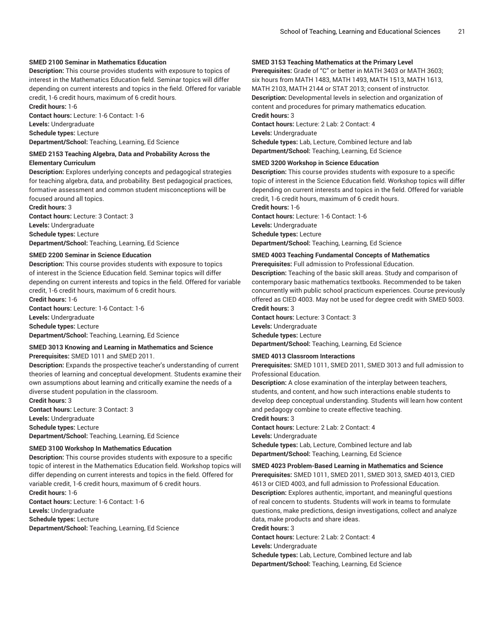### **SMED 2100 Seminar in Mathematics Education**

**Description:** This course provides students with exposure to topics of interest in the Mathematics Education field. Seminar topics will differ depending on current interests and topics in the field. Offered for variable credit, 1-6 credit hours, maximum of 6 credit hours.

**Credit hours:** 1-6

**Contact hours:** Lecture: 1-6 Contact: 1-6

**Levels:** Undergraduate **Schedule types:** Lecture

**Department/School:** Teaching, Learning, Ed Science

#### **SMED 2153 Teaching Algebra, Data and Probability Across the Elementary Curriculum**

**Description:** Explores underlying concepts and pedagogical strategies for teaching algebra, data, and probability. Best pedagogical practices, formative assessment and common student misconceptions will be focused around all topics.

**Credit hours:** 3

**Contact hours:** Lecture: 3 Contact: 3 **Levels:** Undergraduate

**Schedule types:** Lecture

**Department/School:** Teaching, Learning, Ed Science

#### **SMED 2200 Seminar in Science Education**

**Description:** This course provides students with exposure to topics of interest in the Science Education field. Seminar topics will differ depending on current interests and topics in the field. Offered for variable credit, 1-6 credit hours, maximum of 6 credit hours. **Credit hours:** 1-6

**Contact hours:** Lecture: 1-6 Contact: 1-6

**Levels:** Undergraduate

**Schedule types:** Lecture

**Department/School:** Teaching, Learning, Ed Science

### **SMED 3013 Knowing and Learning in Mathematics and Science**

**Prerequisites:** SMED 1011 and SMED 2011.

**Description:** Expands the prospective teacher's understanding of current theories of learning and conceptual development. Students examine their own assumptions about learning and critically examine the needs of a diverse student population in the classroom.

**Credit hours:** 3

**Contact hours:** Lecture: 3 Contact: 3 **Levels:** Undergraduate **Schedule types:** Lecture **Department/School:** Teaching, Learning, Ed Science

### **SMED 3100 Workshop In Mathematics Education**

**Description:** This course provides students with exposure to a specific topic of interest in the Mathematics Education field. Workshop topics will differ depending on current interests and topics in the field. Offered for variable credit, 1-6 credit hours, maximum of 6 credit hours. **Credit hours:** 1-6

**Contact hours:** Lecture: 1-6 Contact: 1-6 **Levels:** Undergraduate **Schedule types:** Lecture **Department/School:** Teaching, Learning, Ed Science

### **SMED 3153 Teaching Mathematics at the Primary Level**

**Prerequisites:** Grade of "C" or better in MATH 3403 or MATH 3603; six hours from MATH 1483, MATH 1493, MATH 1513, MATH 1613, MATH 2103, MATH 2144 or STAT 2013; consent of instructor. **Description:** Developmental levels in selection and organization of content and procedures for primary mathematics education. **Credit hours:** 3 **Contact hours:** Lecture: 2 Lab: 2 Contact: 4

**Levels:** Undergraduate

**Schedule types:** Lab, Lecture, Combined lecture and lab

**Department/School:** Teaching, Learning, Ed Science

#### **SMED 3200 Workshop in Science Education**

**Description:** This course provides students with exposure to a specific topic of interest in the Science Education field. Workshop topics will differ depending on current interests and topics in the field. Offered for variable credit, 1-6 credit hours, maximum of 6 credit hours.

**Credit hours:** 1-6

**Contact hours:** Lecture: 1-6 Contact: 1-6

**Levels:** Undergraduate

**Schedule types:** Lecture

**Department/School:** Teaching, Learning, Ed Science

### **SMED 4003 Teaching Fundamental Concepts of Mathematics**

#### **Prerequisites:** Full admission to Professional Education.

**Description:** Teaching of the basic skill areas. Study and comparison of contemporary basic mathematics textbooks. Recommended to be taken concurrently with public school practicum experiences. Course previously offered as CIED 4003. May not be used for degree credit with SMED 5003. **Credit hours:** 3

**Contact hours:** Lecture: 3 Contact: 3 **Levels:** Undergraduate **Schedule types:** Lecture **Department/School:** Teaching, Learning, Ed Science

### **SMED 4013 Classroom Interactions**

**Prerequisites:** SMED 1011, SMED 2011, SMED 3013 and full admission to Professional Education.

**Description:** A close examination of the interplay between teachers, students, and content, and how such interactions enable students to develop deep conceptual understanding. Students will learn how content and pedagogy combine to create effective teaching.

## **Credit hours:** 3

**Contact hours:** Lecture: 2 Lab: 2 Contact: 4

**Levels:** Undergraduate

**Schedule types:** Lab, Lecture, Combined lecture and lab **Department/School:** Teaching, Learning, Ed Science

#### **SMED 4023 Problem-Based Learning in Mathematics and Science**

**Prerequisites:** SMED 1011, SMED 2011, SMED 3013, SMED 4013, CIED 4613 or CIED 4003, and full admission to Professional Education. **Description:** Explores authentic, important, and meaningful questions of real concern to students. Students will work in teams to formulate questions, make predictions, design investigations, collect and analyze data, make products and share ideas.

**Credit hours:** 3

**Contact hours:** Lecture: 2 Lab: 2 Contact: 4

**Levels:** Undergraduate

**Schedule types:** Lab, Lecture, Combined lecture and lab **Department/School:** Teaching, Learning, Ed Science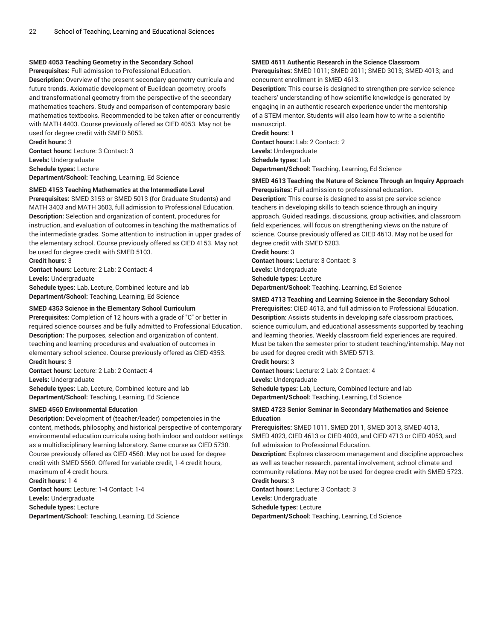### **SMED 4053 Teaching Geometry in the Secondary School**

**Prerequisites:** Full admission to Professional Education.

**Description:** Overview of the present secondary geometry curricula and future trends. Axiomatic development of Euclidean geometry, proofs and transformational geometry from the perspective of the secondary mathematics teachers. Study and comparison of contemporary basic mathematics textbooks. Recommended to be taken after or concurrently with MATH 4403. Course previously offered as CIED 4053. May not be used for degree credit with SMED 5053. **Credit hours:** 3

**Contact hours:** Lecture: 3 Contact: 3 **Levels:** Undergraduate **Schedule types:** Lecture **Department/School:** Teaching, Learning, Ed Science

#### **SMED 4153 Teaching Mathematics at the Intermediate Level**

**Prerequisites:** SMED 3153 or SMED 5013 (for Graduate Students) and MATH 3403 and MATH 3603, full admission to Professional Education. **Description:** Selection and organization of content, procedures for instruction, and evaluation of outcomes in teaching the mathematics of the intermediate grades. Some attention to instruction in upper grades of the elementary school. Course previously offered as CIED 4153. May not be used for degree credit with SMED 5103. **Credit hours:** 3

**Contact hours:** Lecture: 2 Lab: 2 Contact: 4

**Levels:** Undergraduate

**Schedule types:** Lab, Lecture, Combined lecture and lab **Department/School:** Teaching, Learning, Ed Science

### **SMED 4353 Science in the Elementary School Curriculum**

**Prerequisites:** Completion of 12 hours with a grade of "C" or better in required science courses and be fully admitted to Professional Education. **Description:** The purposes, selection and organization of content, teaching and learning procedures and evaluation of outcomes in elementary school science. Course previously offered as CIED 4353. **Credit hours:** 3

**Contact hours:** Lecture: 2 Lab: 2 Contact: 4 **Levels:** Undergraduate **Schedule types:** Lab, Lecture, Combined lecture and lab

**Department/School:** Teaching, Learning, Ed Science

### **SMED 4560 Environmental Education**

**Description:** Development of (teacher/leader) competencies in the content, methods, philosophy, and historical perspective of contemporary environmental education curricula using both indoor and outdoor settings as a multidisciplinary learning laboratory. Same course as CIED 5730. Course previously offered as CIED 4560. May not be used for degree credit with SMED 5560. Offered for variable credit, 1-4 credit hours, maximum of 4 credit hours.

**Credit hours:** 1-4 **Contact hours:** Lecture: 1-4 Contact: 1-4 **Levels:** Undergraduate **Schedule types:** Lecture **Department/School:** Teaching, Learning, Ed Science

### **SMED 4611 Authentic Research in the Science Classroom**

**Prerequisites:** SMED 1011; SMED 2011; SMED 3013; SMED 4013; and concurrent enrollment in SMED 4613.

**Description:** This course is designed to strengthen pre-service science teachers' understanding of how scientific knowledge is generated by engaging in an authentic research experience under the mentorship of a STEM mentor. Students will also learn how to write a scientific manuscript.

**Credit hours:** 1 **Contact hours:** Lab: 2 Contact: 2 **Levels:** Undergraduate **Schedule types:** Lab **Department/School:** Teaching, Learning, Ed Science

### **SMED 4613 Teaching the Nature of Science Through an Inquiry Approach**

**Prerequisites:** Full admission to professional education. **Description:** This course is designed to assist pre-service science teachers in developing skills to teach science through an inquiry approach. Guided readings, discussions, group activities, and classroom field experiences, will focus on strengthening views on the nature of science. Course previously offered as CIED 4613. May not be used for degree credit with SMED 5203.

**Credit hours:** 3 **Contact hours:** Lecture: 3 Contact: 3 **Levels:** Undergraduate **Schedule types:** Lecture **Department/School:** Teaching, Learning, Ed Science

#### **SMED 4713 Teaching and Learning Science in the Secondary School**

**Prerequisites:** CIED 4613, and full admission to Professional Education. **Description:** Assists students in developing safe classroom practices, science curriculum, and educational assessments supported by teaching and learning theories. Weekly classroom field experiences are required. Must be taken the semester prior to student teaching/internship. May not be used for degree credit with SMED 5713.

**Credit hours:** 3

**Contact hours:** Lecture: 2 Lab: 2 Contact: 4 **Levels:** Undergraduate **Schedule types:** Lab, Lecture, Combined lecture and lab **Department/School:** Teaching, Learning, Ed Science

### **SMED 4723 Senior Seminar in Secondary Mathematics and Science Education**

**Prerequisites:** SMED 1011, SMED 2011, SMED 3013, SMED 4013, SMED 4023, CIED 4613 or CIED 4003, and CIED 4713 or CIED 4053, and full admission to Professional Education.

**Description:** Explores classroom management and discipline approaches as well as teacher research, parental involvement, school climate and community relations. May not be used for degree credit with SMED 5723. **Credit hours:** 3

**Contact hours:** Lecture: 3 Contact: 3 **Levels:** Undergraduate **Schedule types:** Lecture **Department/School:** Teaching, Learning, Ed Science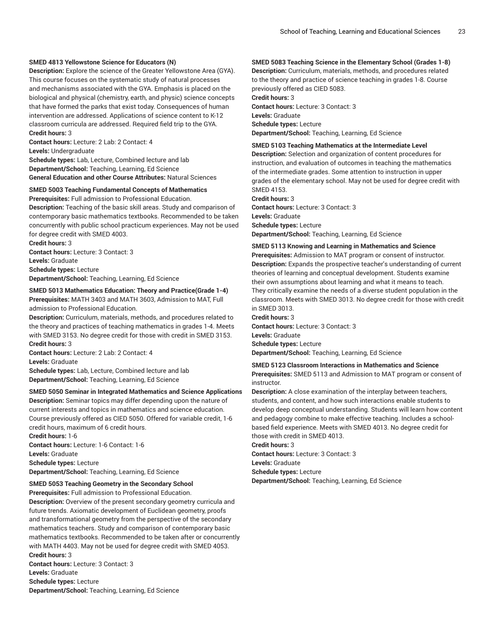#### **SMED 4813 Yellowstone Science for Educators (N)**

**Description:** Explore the science of the Greater Yellowstone Area (GYA). This course focuses on the systematic study of natural processes and mechanisms associated with the GYA. Emphasis is placed on the biological and physical (chemistry, earth, and physic) science concepts that have formed the parks that exist today. Consequences of human intervention are addressed. Applications of science content to K-12 classroom curricula are addressed. Required field trip to the GYA. **Credit hours:** 3

**Contact hours:** Lecture: 2 Lab: 2 Contact: 4 **Levels:** Undergraduate

**Schedule types:** Lab, Lecture, Combined lecture and lab **Department/School:** Teaching, Learning, Ed Science **General Education and other Course Attributes:** Natural Sciences

#### **SMED 5003 Teaching Fundamental Concepts of Mathematics**

**Prerequisites:** Full admission to Professional Education. **Description:** Teaching of the basic skill areas. Study and comparison of contemporary basic mathematics textbooks. Recommended to be taken concurrently with public school practicum experiences. May not be used for degree credit with SMED 4003.

**Credit hours:** 3 **Contact hours:** Lecture: 3 Contact: 3 **Levels:** Graduate **Schedule types:** Lecture **Department/School:** Teaching, Learning, Ed Science

### **SMED 5013 Mathematics Education: Theory and Practice(Grade 1-4) Prerequisites:** MATH 3403 and MATH 3603, Admission to MAT, Full admission to Professional Education.

**Description:** Curriculum, materials, methods, and procedures related to the theory and practices of teaching mathematics in grades 1-4. Meets with SMED 3153. No degree credit for those with credit in SMED 3153. **Credit hours:** 3

**Contact hours:** Lecture: 2 Lab: 2 Contact: 4 **Levels:** Graduate

**Schedule types:** Lab, Lecture, Combined lecture and lab **Department/School:** Teaching, Learning, Ed Science

#### **SMED 5050 Seminar in Integrated Mathematics and Science Applications**

**Description:** Seminar topics may differ depending upon the nature of current interests and topics in mathematics and science education. Course previously offered as CIED 5050. Offered for variable credit, 1-6 credit hours, maximum of 6 credit hours.

**Credit hours:** 1-6 **Contact hours:** Lecture: 1-6 Contact: 1-6 **Levels:** Graduate **Schedule types:** Lecture **Department/School:** Teaching, Learning, Ed Science

#### **SMED 5053 Teaching Geometry in the Secondary School**

**Prerequisites:** Full admission to Professional Education.

**Description:** Overview of the present secondary geometry curricula and future trends. Axiomatic development of Euclidean geometry, proofs and transformational geometry from the perspective of the secondary mathematics teachers. Study and comparison of contemporary basic mathematics textbooks. Recommended to be taken after or concurrently with MATH 4403. May not be used for degree credit with SMED 4053. **Credit hours:** 3

**Contact hours:** Lecture: 3 Contact: 3 **Levels:** Graduate **Schedule types:** Lecture **Department/School:** Teaching, Learning, Ed Science

### **SMED 5083 Teaching Science in the Elementary School (Grades 1-8)**

**Description:** Curriculum, materials, methods, and procedures related to the theory and practice of science teaching in grades 1-8. Course previously offered as CIED 5083.

**Credit hours:** 3

**Contact hours:** Lecture: 3 Contact: 3 **Levels:** Graduate **Schedule types:** Lecture **Department/School:** Teaching, Learning, Ed Science

### **SMED 5103 Teaching Mathematics at the Intermediate Level**

**Description:** Selection and organization of content procedures for instruction, and evaluation of outcomes in teaching the mathematics of the intermediate grades. Some attention to instruction in upper grades of the elementary school. May not be used for degree credit with SMED 4153.

#### **Credit hours:** 3

**Contact hours:** Lecture: 3 Contact: 3 **Levels:** Graduate **Schedule types:** Lecture **Department/School:** Teaching, Learning, Ed Science

#### **SMED 5113 Knowing and Learning in Mathematics and Science**

**Prerequisites:** Admission to MAT program or consent of instructor. **Description:** Expands the prospective teacher's understanding of current theories of learning and conceptual development. Students examine their own assumptions about learning and what it means to teach. They critically examine the needs of a diverse student population in the classroom. Meets with SMED 3013. No degree credit for those with credit in SMED 3013.

#### **Credit hours:** 3

**Contact hours:** Lecture: 3 Contact: 3 **Levels:** Graduate **Schedule types:** Lecture

**Department/School:** Teaching, Learning, Ed Science

#### **SMED 5123 Classroom Interactions in Mathematics and Science**

**Prerequisites:** SMED 5113 and Admission to MAT program or consent of instructor.

**Description:** A close examination of the interplay between teachers, students, and content, and how such interactions enable students to develop deep conceptual understanding. Students will learn how content and pedagogy combine to make effective teaching. Includes a schoolbased field experience. Meets with SMED 4013. No degree credit for those with credit in SMED 4013.

**Credit hours:** 3

**Contact hours:** Lecture: 3 Contact: 3

**Levels:** Graduate

**Schedule types:** Lecture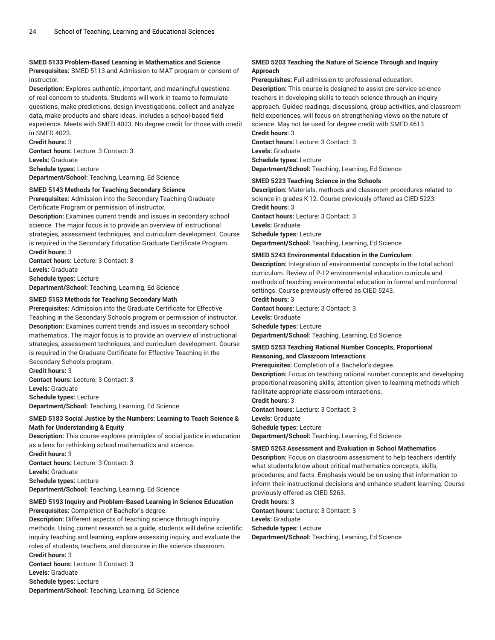### **SMED 5133 Problem-Based Learning in Mathematics and Science**

**Prerequisites:** SMED 5113 and Admission to MAT program or consent of instructor.

**Description:** Explores authentic, important, and meaningful questions of real concern to students. Students will work in teams to formulate questions, make predictions, design investigations, collect and analyze data, make products and share ideas. Includes a school-based field experience. Meets with SMED 4023. No degree credit for those with credit in SMED 4023.

**Credit hours:** 3 **Contact hours:** Lecture: 3 Contact: 3 **Levels:** Graduate **Schedule types:** Lecture **Department/School:** Teaching, Learning, Ed Science

### **SMED 5143 Methods for Teaching Secondary Science**

**Prerequisites:** Admission into the Secondary Teaching Graduate Certificate Program or permission of instructor.

**Description:** Examines current trends and issues in secondary school science. The major focus is to provide an overview of instructional strategies, assessment techniques, and curriculum development. Course is required in the Secondary Education Graduate Certificate Program. **Credit hours:** 3

**Contact hours:** Lecture: 3 Contact: 3 **Levels:** Graduate **Schedule types:** Lecture **Department/School:** Teaching, Learning, Ed Science

### **SMED 5153 Methods for Teaching Secondary Math**

**Prerequisites:** Admission into the Graduate Certificate for Effective Teaching in the Secondary Schools program or permission of instructor. **Description:** Examines current trends and issues in secondary school mathematics. The major focus is to provide an overview of instructional strategies, assessment techniques, and curriculum development. Course is required in the Graduate Certificate for Effective Teaching in the Secondary Schools program.

**Credit hours:** 3 **Contact hours:** Lecture: 3 Contact: 3

**Levels:** Graduate

**Schedule types:** Lecture **Department/School:** Teaching, Learning, Ed Science

### **SMED 5183 Social Justice by the Numbers: Learning to Teach Science & Math for Understanding & Equity**

**Description:** This course explores principles of social justice in education as a lens for rethinking school mathematics and science.

**Credit hours:** 3 **Contact hours:** Lecture: 3 Contact: 3 **Levels:** Graduate **Schedule types:** Lecture **Department/School:** Teaching, Learning, Ed Science

### **SMED 5193 Inquiry and Problem-Based Learning in Science Education**

**Prerequisites:** Completion of Bachelor's degree.

**Description:** Different aspects of teaching science through inquiry methods. Using current research as a guide, students will define scientific inquiry teaching and learning, explore assessing inquiry, and evaluate the roles of students, teachers, and discourse in the science classroom. **Credit hours:** 3 **Contact hours:** Lecture: 3 Contact: 3

**Levels:** Graduate **Schedule types:** Lecture **Department/School:** Teaching, Learning, Ed Science

### **SMED 5203 Teaching the Nature of Science Through and Inquiry Approach**

**Prerequisites:** Full admission to professional education. **Description:** This course is designed to assist pre-service science teachers in developing skills to teach science through an inquiry approach. Guided readings, discussions, group activities, and classroom field experiences, will focus on strengthening views on the nature of science. May not be used for degree credit with SMED 4613.

**Credit hours:** 3 **Contact hours:** Lecture: 3 Contact: 3 **Levels:** Graduate **Schedule types:** Lecture **Department/School:** Teaching, Learning, Ed Science

#### **SMED 5223 Teaching Science in the Schools**

**Description:** Materials, methods and classroom procedures related to science in grades K-12. Course previously offered as CIED 5223. **Credit hours:** 3 **Contact hours:** Lecture: 3 Contact: 3 **Levels:** Graduate **Schedule types:** Lecture **Department/School:** Teaching, Learning, Ed Science

#### **SMED 5243 Environmental Education in the Curriculum**

**Description:** Integration of environmental concepts in the total school curriculum. Review of P-12 environmental education curricula and methods of teaching environmental education in formal and nonformal settings. Course previously offered as CIED 5243.

**Credit hours:** 3 **Contact hours:** Lecture: 3 Contact: 3 **Levels:** Graduate

**Schedule types:** Lecture

**Department/School:** Teaching, Learning, Ed Science

#### **SMED 5253 Teaching Rational Number Concepts, Proportional Reasoning, and Classroom Interactions**

**Prerequisites:** Completion of a Bachelor's degree.

**Description:** Focus on teaching rational number concepts and developing proportional reasoning skills; attention given to learning methods which facilitate appropriate classroom interactions.

**Credit hours:** 3

**Contact hours:** Lecture: 3 Contact: 3 **Levels:** Graduate

**Schedule types:** Lecture

**Department/School:** Teaching, Learning, Ed Science

### **SMED 5263 Assessment and Evaluation in School Mathematics**

**Description:** Focus on classroom assessment to help teachers identify what students know about critical mathematics concepts, skills, procedures, and facts. Emphasis would be on using that information to inform their instructional decisions and enhance student learning. Course previously offered as CIED 5263.

**Credit hours:** 3

**Contact hours:** Lecture: 3 Contact: 3 **Levels:** Graduate

**Schedule types:** Lecture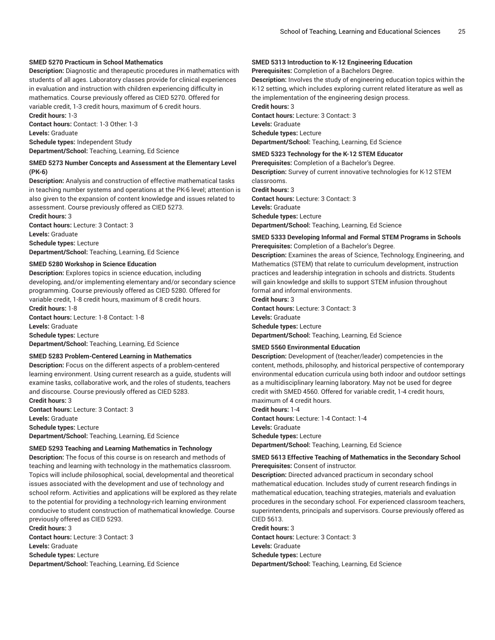### **SMED 5270 Practicum in School Mathematics**

**Description:** Diagnostic and therapeutic procedures in mathematics with students of all ages. Laboratory classes provide for clinical experiences in evaluation and instruction with children experiencing difficulty in mathematics. Course previously offered as CIED 5270. Offered for variable credit, 1-3 credit hours, maximum of 6 credit hours. **Credit hours:** 1-3

**Contact hours:** Contact: 1-3 Other: 1-3 **Levels:** Graduate

**Schedule types:** Independent Study **Department/School:** Teaching, Learning, Ed Science

### **SMED 5273 Number Concepts and Assessment at the Elementary Level (PK-6)**

**Description:** Analysis and construction of effective mathematical tasks in teaching number systems and operations at the PK-6 level; attention is also given to the expansion of content knowledge and issues related to assessment. Course previously offered as CIED 5273.

**Credit hours:** 3 **Contact hours:** Lecture: 3 Contact: 3 **Levels:** Graduate **Schedule types:** Lecture **Department/School:** Teaching, Learning, Ed Science

#### **SMED 5280 Workshop in Science Education**

**Description:** Explores topics in science education, including developing, and/or implementing elementary and/or secondary science programming. Course previously offered as CIED 5280. Offered for variable credit, 1-8 credit hours, maximum of 8 credit hours. **Credit hours:** 1-8

**Contact hours:** Lecture: 1-8 Contact: 1-8 **Levels:** Graduate **Schedule types:** Lecture **Department/School:** Teaching, Learning, Ed Science

#### **SMED 5283 Problem-Centered Learning in Mathematics**

**Description:** Focus on the different aspects of a problem-centered learning environment. Using current research as a guide, students will examine tasks, collaborative work, and the roles of students, teachers and discourse. Course previously offered as CIED 5283. **Credit hours:** 3

**Contact hours:** Lecture: 3 Contact: 3 **Levels:** Graduate **Schedule types:** Lecture **Department/School:** Teaching, Learning, Ed Science

### **SMED 5293 Teaching and Learning Mathematics in Technology**

**Description:** The focus of this course is on research and methods of teaching and learning with technology in the mathematics classroom. Topics will include philosophical, social, developmental and theoretical issues associated with the development and use of technology and school reform. Activities and applications will be explored as they relate to the potential for providing a technology-rich learning environment conducive to student construction of mathematical knowledge. Course previously offered as CIED 5293.

**Credit hours:** 3

**Contact hours:** Lecture: 3 Contact: 3 **Levels:** Graduate **Schedule types:** Lecture **Department/School:** Teaching, Learning, Ed Science

### **SMED 5313 Introduction to K-12 Engineering Education**

**Prerequisites:** Completion of a Bachelors Degree.

**Description:** Involves the study of engineering education topics within the K-12 setting, which includes exploring current related literature as well as the implementation of the engineering design process.

**Credit hours:** 3 **Contact hours:** Lecture: 3 Contact: 3 **Levels:** Graduate **Schedule types:** Lecture **Department/School:** Teaching, Learning, Ed Science

**SMED 5323 Technology for the K-12 STEM Educator**

**Prerequisites:** Completion of a Bachelor's Degree. **Description:** Survey of current innovative technologies for K-12 STEM classrooms. **Credit hours:** 3 **Contact hours:** Lecture: 3 Contact: 3 **Levels:** Graduate **Schedule types:** Lecture **Department/School:** Teaching, Learning, Ed Science

#### **SMED 5333 Developing Informal and Formal STEM Programs in Schools Prerequisites:** Completion of a Bachelor's Degree.

**Description:** Examines the areas of Science, Technology, Engineering, and Mathematics (STEM) that relate to curriculum development, instruction practices and leadership integration in schools and districts. Students will gain knowledge and skills to support STEM infusion throughout formal and informal environments.

**Credit hours:** 3 **Contact hours:** Lecture: 3 Contact: 3 **Levels:** Graduate **Schedule types:** Lecture **Department/School:** Teaching, Learning, Ed Science

#### **SMED 5560 Environmental Education**

**Description:** Development of (teacher/leader) competencies in the content, methods, philosophy, and historical perspective of contemporary environmental education curricula using both indoor and outdoor settings as a multidisciplinary learning laboratory. May not be used for degree credit with SMED 4560. Offered for variable credit, 1-4 credit hours, maximum of 4 credit hours.

**Credit hours:** 1-4

**Contact hours:** Lecture: 1-4 Contact: 1-4 **Levels:** Graduate

**Schedule types:** Lecture

**Department/School:** Teaching, Learning, Ed Science

### **SMED 5613 Effective Teaching of Mathematics in the Secondary School Prerequisites:** Consent of instructor.

**Description:** Directed advanced practicum in secondary school mathematical education. Includes study of current research findings in mathematical education, teaching strategies, materials and evaluation procedures in the secondary school. For experienced classroom teachers, superintendents, principals and supervisors. Course previously offered as CIED 5613.

#### **Credit hours:** 3

**Contact hours:** Lecture: 3 Contact: 3 **Levels:** Graduate **Schedule types:** Lecture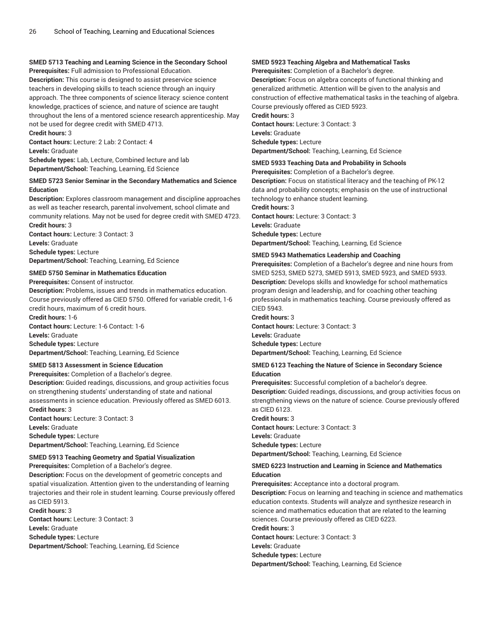### **SMED 5713 Teaching and Learning Science in the Secondary School**

**Prerequisites:** Full admission to Professional Education. **Description:** This course is designed to assist preservice science teachers in developing skills to teach science through an inquiry approach. The three components of science literacy: science content knowledge, practices of science, and nature of science are taught throughout the lens of a mentored science research apprenticeship. May not be used for degree credit with SMED 4713.

**Credit hours:** 3

**Contact hours:** Lecture: 2 Lab: 2 Contact: 4 **Levels:** Graduate

**Schedule types:** Lab, Lecture, Combined lecture and lab **Department/School:** Teaching, Learning, Ed Science

### **SMED 5723 Senior Seminar in the Secondary Mathematics and Science Education**

**Description:** Explores classroom management and discipline approaches as well as teacher research, parental involvement, school climate and community relations. May not be used for degree credit with SMED 4723. **Credit hours:** 3

**Contact hours:** Lecture: 3 Contact: 3 **Levels:** Graduate **Schedule types:** Lecture **Department/School:** Teaching, Learning, Ed Science

#### **SMED 5750 Seminar in Mathematics Education**

**Prerequisites:** Consent of instructor.

**Description:** Problems, issues and trends in mathematics education. Course previously offered as CIED 5750. Offered for variable credit, 1-6 credit hours, maximum of 6 credit hours.

**Credit hours:** 1-6

**Contact hours:** Lecture: 1-6 Contact: 1-6

**Levels:** Graduate

**Schedule types:** Lecture **Department/School:** Teaching, Learning, Ed Science

### **SMED 5813 Assessment in Science Education**

**Prerequisites:** Completion of a Bachelor's degree. **Description:** Guided readings, discussions, and group activities focus on strengthening students' understanding of state and national assessments in science education. Previously offered as SMED 6013. **Credit hours:** 3 **Contact hours:** Lecture: 3 Contact: 3

**Levels:** Graduate

**Schedule types:** Lecture **Department/School:** Teaching, Learning, Ed Science

### **SMED 5913 Teaching Geometry and Spatial Visualization**

**Prerequisites:** Completion of a Bachelor's degree.

**Description:** Focus on the development of geometric concepts and spatial visualization. Attention given to the understanding of learning trajectories and their role in student learning. Course previously offered as CIED 5913.

**Credit hours:** 3 **Contact hours:** Lecture: 3 Contact: 3 **Levels:** Graduate **Schedule types:** Lecture **Department/School:** Teaching, Learning, Ed Science

### **SMED 5923 Teaching Algebra and Mathematical Tasks**

**Prerequisites:** Completion of a Bachelor's degree.

**Description:** Focus on algebra concepts of functional thinking and generalized arithmetic. Attention will be given to the analysis and construction of effective mathematical tasks in the teaching of algebra. Course previously offered as CIED 5923.

**Credit hours:** 3

**Contact hours:** Lecture: 3 Contact: 3 **Levels:** Graduate **Schedule types:** Lecture **Department/School:** Teaching, Learning, Ed Science

### **SMED 5933 Teaching Data and Probability in Schools**

**Prerequisites:** Completion of a Bachelor's degree. **Description:** Focus on statistical literacy and the teaching of PK-12 data and probability concepts; emphasis on the use of instructional technology to enhance student learning.

**Credit hours:** 3 **Contact hours:** Lecture: 3 Contact: 3 **Levels:** Graduate

**Schedule types:** Lecture

**Department/School:** Teaching, Learning, Ed Science

### **SMED 5943 Mathematics Leadership and Coaching**

**Prerequisites:** Completion of a Bachelor's degree and nine hours from SMED 5253, SMED 5273, SMED 5913, SMED 5923, and SMED 5933. **Description:** Develops skills and knowledge for school mathematics program design and leadership, and for coaching other teaching professionals in mathematics teaching. Course previously offered as CIED 5943.

### **Credit hours:** 3

**Contact hours:** Lecture: 3 Contact: 3 **Levels:** Graduate **Schedule types:** Lecture **Department/School:** Teaching, Learning, Ed Science

#### **SMED 6123 Teaching the Nature of Science in Secondary Science Education**

**Prerequisites:** Successful completion of a bachelor's degree. **Description:** Guided readings, discussions, and group activities focus on strengthening views on the nature of science. Course previously offered as CIED 6123.

**Credit hours:** 3 **Contact hours:** Lecture: 3 Contact: 3 **Levels:** Graduate **Schedule types:** Lecture

**Department/School:** Teaching, Learning, Ed Science

### **SMED 6223 Instruction and Learning in Science and Mathematics Education**

**Prerequisites:** Acceptance into a doctoral program.

**Description:** Focus on learning and teaching in science and mathematics education contexts. Students will analyze and synthesize research in science and mathematics education that are related to the learning sciences. Course previously offered as CIED 6223.

**Credit hours:** 3

**Contact hours:** Lecture: 3 Contact: 3

**Levels:** Graduate

**Schedule types:** Lecture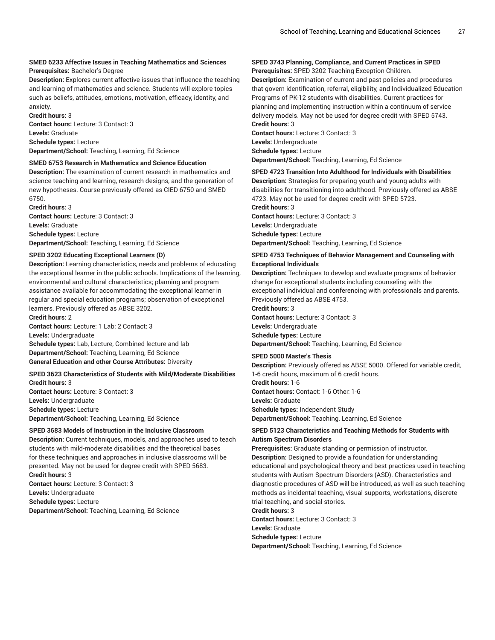## **SMED 6233 Affective Issues in Teaching Mathematics and Sciences**

**Prerequisites:** Bachelor's Degree

**Description:** Explores current affective issues that influence the teaching and learning of mathematics and science. Students will explore topics such as beliefs, attitudes, emotions, motivation, efficacy, identity, and anxiety.

**Credit hours:** 3 **Contact hours:** Lecture: 3 Contact: 3 **Levels:** Graduate **Schedule types:** Lecture **Department/School:** Teaching, Learning, Ed Science

### **SMED 6753 Research in Mathematics and Science Education**

**Description:** The examination of current research in mathematics and science teaching and learning, research designs, and the generation of new hypotheses. Course previously offered as CIED 6750 and SMED 6750.

**Credit hours:** 3 **Contact hours:** Lecture: 3 Contact: 3 **Levels:** Graduate **Schedule types:** Lecture **Department/School:** Teaching, Learning, Ed Science

### **SPED 3202 Educating Exceptional Learners (D)**

**Description:** Learning characteristics, needs and problems of educating the exceptional learner in the public schools. Implications of the learning, environmental and cultural characteristics; planning and program assistance available for accommodating the exceptional learner in regular and special education programs; observation of exceptional learners. Previously offered as ABSE 3202.

**Credit hours:** 2

**Contact hours:** Lecture: 1 Lab: 2 Contact: 3

**Levels:** Undergraduate **Schedule types:** Lab, Lecture, Combined lecture and lab **Department/School:** Teaching, Learning, Ed Science **General Education and other Course Attributes:** Diversity

### **SPED 3623 Characteristics of Students with Mild/Moderate Disabilities Credit hours:** 3

**Contact hours:** Lecture: 3 Contact: 3 **Levels:** Undergraduate **Schedule types:** Lecture **Department/School:** Teaching, Learning, Ed Science

#### **SPED 3683 Models of Instruction in the Inclusive Classroom**

**Description:** Current techniques, models, and approaches used to teach students with mild-moderate disabilities and the theoretical bases for these techniques and approaches in inclusive classrooms will be presented. May not be used for degree credit with SPED 5683. **Credit hours:** 3 **Contact hours:** Lecture: 3 Contact: 3 **Levels:** Undergraduate

**Schedule types:** Lecture **Department/School:** Teaching, Learning, Ed Science

### **SPED 3743 Planning, Compliance, and Current Practices in SPED Prerequisites:** SPED 3202 Teaching Exception Children.

**Description:** Examination of current and past policies and procedures that govern identification, referral, eligibility, and Individualized Education Programs of PK-12 students with disabilities. Current practices for planning and implementing instruction within a continuum of service delivery models. May not be used for degree credit with SPED 5743. **Credit hours:** 3

**Contact hours:** Lecture: 3 Contact: 3 **Levels:** Undergraduate **Schedule types:** Lecture **Department/School:** Teaching, Learning, Ed Science

### **SPED 4723 Transition Into Adulthood for Individuals with Disabilities**

**Description:** Strategies for preparing youth and young adults with disabilities for transitioning into adulthood. Previously offered as ABSE 4723. May not be used for degree credit with SPED 5723.

**Credit hours:** 3

**Contact hours:** Lecture: 3 Contact: 3 **Levels:** Undergraduate **Schedule types:** Lecture

**Department/School:** Teaching, Learning, Ed Science

#### **SPED 4753 Techniques of Behavior Management and Counseling with Exceptional Individuals**

**Description:** Techniques to develop and evaluate programs of behavior change for exceptional students including counseling with the exceptional individual and conferencing with professionals and parents. Previously offered as ABSE 4753.

**Credit hours:** 3

**Contact hours:** Lecture: 3 Contact: 3 **Levels:** Undergraduate **Schedule types:** Lecture

**Department/School:** Teaching, Learning, Ed Science

#### **SPED 5000 Master's Thesis**

**Description:** Previously offered as ABSE 5000. Offered for variable credit, 1-6 credit hours, maximum of 6 credit hours.

**Credit hours:** 1-6 **Contact hours:** Contact: 1-6 Other: 1-6 **Levels:** Graduate

**Schedule types:** Independent Study

**Department/School:** Teaching, Learning, Ed Science

### **SPED 5123 Characteristics and Teaching Methods for Students with Autism Spectrum Disorders**

**Prerequisites:** Graduate standing or permission of instructor. **Description:** Designed to provide a foundation for understanding educational and psychological theory and best practices used in teaching students with Autism Spectrum Disorders (ASD). Characteristics and diagnostic procedures of ASD will be introduced, as well as such teaching methods as incidental teaching, visual supports, workstations, discrete trial teaching, and social stories.

**Credit hours:** 3 **Contact hours:** Lecture: 3 Contact: 3 **Levels:** Graduate **Schedule types:** Lecture **Department/School:** Teaching, Learning, Ed Science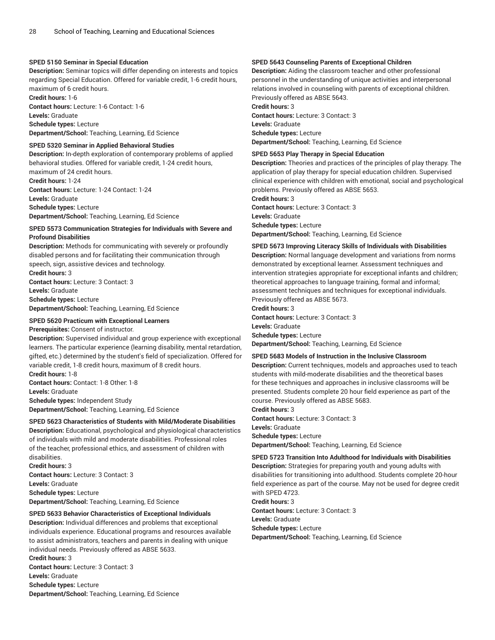### **SPED 5150 Seminar in Special Education**

**Description:** Seminar topics will differ depending on interests and topics regarding Special Education. Offered for variable credit, 1-6 credit hours, maximum of 6 credit hours.

**Credit hours:** 1-6 **Contact hours:** Lecture: 1-6 Contact: 1-6 **Levels:** Graduate **Schedule types:** Lecture

**Department/School:** Teaching, Learning, Ed Science

#### **SPED 5320 Seminar in Applied Behavioral Studies**

**Description:** In-depth exploration of contemporary problems of applied behavioral studies. Offered for variable credit, 1-24 credit hours, maximum of 24 credit hours. **Credit hours:** 1-24 **Contact hours:** Lecture: 1-24 Contact: 1-24 **Levels:** Graduate

**Schedule types:** Lecture

**Department/School:** Teaching, Learning, Ed Science

#### **SPED 5573 Communication Strategies for Individuals with Severe and Profound Disabilities**

**Description:** Methods for communicating with severely or profoundly disabled persons and for facilitating their communication through speech, sign, assistive devices and technology. **Credit hours:** 3

**Contact hours:** Lecture: 3 Contact: 3 **Levels:** Graduate **Schedule types:** Lecture **Department/School:** Teaching, Learning, Ed Science

#### **SPED 5620 Practicum with Exceptional Learners**

**Prerequisites:** Consent of instructor.

**Description:** Supervised individual and group experience with exceptional learners. The particular experience (learning disability, mental retardation, gifted, etc.) determined by the student's field of specialization. Offered for variable credit, 1-8 credit hours, maximum of 8 credit hours. **Credit hours:** 1-8

**Contact hours:** Contact: 1-8 Other: 1-8 **Levels:** Graduate **Schedule types:** Independent Study **Department/School:** Teaching, Learning, Ed Science

### **SPED 5623 Characteristics of Students with Mild/Moderate Disabilities**

**Description:** Educational, psychological and physiological characteristics of individuals with mild and moderate disabilities. Professional roles of the teacher, professional ethics, and assessment of children with disabilities.

**Credit hours:** 3 **Contact hours:** Lecture: 3 Contact: 3 **Levels:** Graduate **Schedule types:** Lecture **Department/School:** Teaching, Learning, Ed Science

#### **SPED 5633 Behavior Characteristics of Exceptional Individuals**

**Description:** Individual differences and problems that exceptional individuals experience. Educational programs and resources available to assist administrators, teachers and parents in dealing with unique individual needs. Previously offered as ABSE 5633. **Credit hours:** 3

**Contact hours:** Lecture: 3 Contact: 3 **Levels:** Graduate **Schedule types:** Lecture **Department/School:** Teaching, Learning, Ed Science

### **SPED 5643 Counseling Parents of Exceptional Children**

**Description:** Aiding the classroom teacher and other professional personnel in the understanding of unique activities and interpersonal relations involved in counseling with parents of exceptional children. Previously offered as ABSE 5643.

**Credit hours:** 3 **Contact hours:** Lecture: 3 Contact: 3 **Levels:** Graduate **Schedule types:** Lecture **Department/School:** Teaching, Learning, Ed Science

#### **SPED 5653 Play Therapy in Special Education**

**Description:** Theories and practices of the principles of play therapy. The application of play therapy for special education children. Supervised clinical experience with children with emotional, social and psychological problems. Previously offered as ABSE 5653.

**Credit hours:** 3 **Contact hours:** Lecture: 3 Contact: 3 **Levels:** Graduate **Schedule types:** Lecture **Department/School:** Teaching, Learning, Ed Science

#### **SPED 5673 Improving Literacy Skills of Individuals with Disabilities**

**Description:** Normal language development and variations from norms demonstrated by exceptional learner. Assessment techniques and intervention strategies appropriate for exceptional infants and children; theoretical approaches to language training, formal and informal; assessment techniques and techniques for exceptional individuals. Previously offered as ABSE 5673.

**Credit hours:** 3

**Contact hours:** Lecture: 3 Contact: 3 **Levels:** Graduate **Schedule types:** Lecture **Department/School:** Teaching, Learning, Ed Science

### **SPED 5683 Models of Instruction in the Inclusive Classroom**

**Description:** Current techniques, models and approaches used to teach students with mild-moderate disabilities and the theoretical bases for these techniques and approaches in inclusive classrooms will be presented. Students complete 20 hour field experience as part of the course. Previously offered as ABSE 5683.

**Credit hours:** 3

**Contact hours:** Lecture: 3 Contact: 3 **Levels:** Graduate **Schedule types:** Lecture **Department/School:** Teaching, Learning, Ed Science

#### **SPED 5723 Transition Into Adulthood for Individuals with Disabilities**

**Description:** Strategies for preparing youth and young adults with disabilities for transitioning into adulthood. Students complete 20-hour field experience as part of the course. May not be used for degree credit with SPED 4723.

**Credit hours:** 3 **Contact hours:** Lecture: 3 Contact: 3 **Levels:** Graduate **Schedule types:** Lecture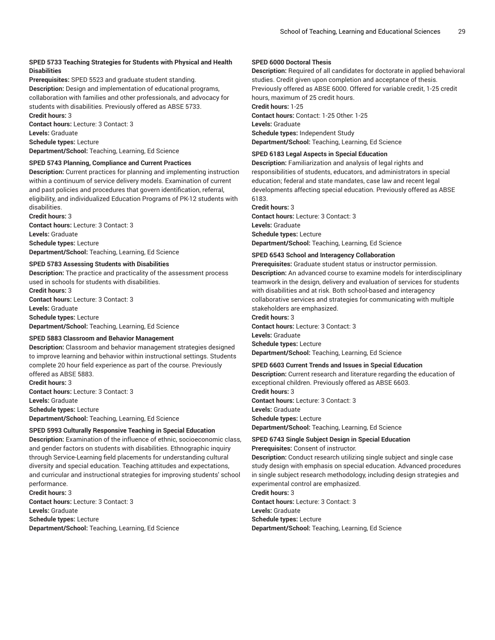### **SPED 5733 Teaching Strategies for Students with Physical and Health Disabilities**

**Prerequisites:** SPED 5523 and graduate student standing. **Description:** Design and implementation of educational programs, collaboration with families and other professionals, and advocacy for students with disabilities. Previously offered as ABSE 5733. **Credit hours:** 3

**Contact hours:** Lecture: 3 Contact: 3 **Levels:** Graduate **Schedule types:** Lecture **Department/School:** Teaching, Learning, Ed Science

### **SPED 5743 Planning, Compliance and Current Practices**

**Description:** Current practices for planning and implementing instruction within a continuum of service delivery models. Examination of current and past policies and procedures that govern identification, referral, eligibility, and individualized Education Programs of PK-12 students with disabilities.

**Credit hours:** 3 **Contact hours:** Lecture: 3 Contact: 3 **Levels:** Graduate **Schedule types:** Lecture **Department/School:** Teaching, Learning, Ed Science

#### **SPED 5783 Assessing Students with Disabilities**

**Description:** The practice and practicality of the assessment process used in schools for students with disabilities.

**Credit hours:** 3 **Contact hours:** Lecture: 3 Contact: 3 **Levels:** Graduate **Schedule types:** Lecture **Department/School:** Teaching, Learning, Ed Science

#### **SPED 5883 Classroom and Behavior Management**

**Description:** Classroom and behavior management strategies designed to improve learning and behavior within instructional settings. Students complete 20 hour field experience as part of the course. Previously offered as ABSE 5883.

**Credit hours:** 3 **Contact hours:** Lecture: 3 Contact: 3 **Levels:** Graduate **Schedule types:** Lecture **Department/School:** Teaching, Learning, Ed Science

#### **SPED 5993 Culturally Responsive Teaching in Special Education**

**Description:** Examination of the influence of ethnic, socioeconomic class, and gender factors on students with disabilities. Ethnographic inquiry through Service-Learning field placements for understanding cultural diversity and special education. Teaching attitudes and expectations, and curricular and instructional strategies for improving students' school performance. **Credit hours:** 3

**Contact hours:** Lecture: 3 Contact: 3 **Levels:** Graduate **Schedule types:** Lecture **Department/School:** Teaching, Learning, Ed Science

### **SPED 6000 Doctoral Thesis**

**Description:** Required of all candidates for doctorate in applied behavioral studies. Credit given upon completion and acceptance of thesis. Previously offered as ABSE 6000. Offered for variable credit, 1-25 credit hours, maximum of 25 credit hours. **Credit hours:** 1-25 **Contact hours:** Contact: 1-25 Other: 1-25 **Levels:** Graduate **Schedule types:** Independent Study

**Department/School:** Teaching, Learning, Ed Science

#### **SPED 6183 Legal Aspects in Special Education**

**Description:** Familiarization and analysis of legal rights and responsibilities of students, educators, and administrators in special education; federal and state mandates, case law and recent legal developments affecting special education. Previously offered as ABSE 6183.

#### **Credit hours:** 3

**Contact hours:** Lecture: 3 Contact: 3 **Levels:** Graduate **Schedule types:** Lecture **Department/School:** Teaching, Learning, Ed Science

#### **SPED 6543 School and Interagency Collaboration**

**Prerequisites:** Graduate student status or instructor permission. **Description:** An advanced course to examine models for interdisciplinary teamwork in the design, delivery and evaluation of services for students with disabilities and at risk. Both school-based and interagency collaborative services and strategies for communicating with multiple stakeholders are emphasized.

**Credit hours:** 3 **Contact hours:** Lecture: 3 Contact: 3 **Levels:** Graduate **Schedule types:** Lecture

**Department/School:** Teaching, Learning, Ed Science

#### **SPED 6603 Current Trends and Issues in Special Education**

**Description:** Current research and literature regarding the education of exceptional children. Previously offered as ABSE 6603.

**Credit hours:** 3 **Contact hours:** Lecture: 3 Contact: 3 **Levels:** Graduate **Schedule types:** Lecture **Department/School:** Teaching, Learning, Ed Science

### **SPED 6743 Single Subject Design in Special Education Prerequisites:** Consent of instructor.

**Description:** Conduct research utilizing single subject and single case study design with emphasis on special education. Advanced procedures in single subject research methodology, including design strategies and

experimental control are emphasized.

**Credit hours:** 3

**Contact hours:** Lecture: 3 Contact: 3 **Levels:** Graduate **Schedule types:** Lecture **Department/School:** Teaching, Learning, Ed Science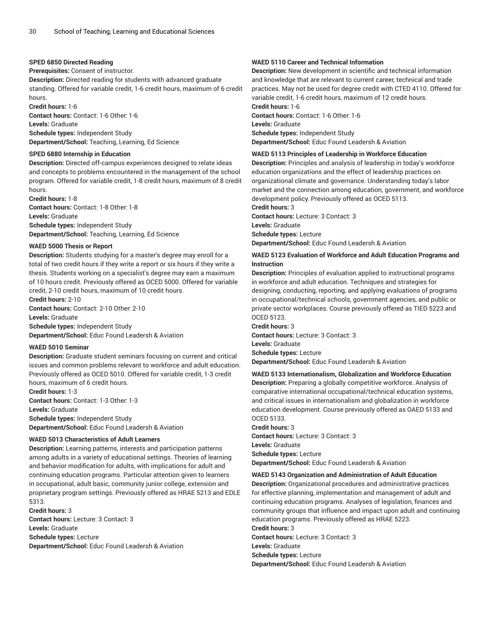#### **SPED 6850 Directed Reading**

**Prerequisites:** Consent of instructor.

**Description:** Directed reading for students with advanced graduate standing. Offered for variable credit, 1-6 credit hours, maximum of 6 credit hours.

**Credit hours:** 1-6 **Contact hours:** Contact: 1-6 Other: 1-6 **Levels:** Graduate

**Schedule types:** Independent Study **Department/School:** Teaching, Learning, Ed Science

#### **SPED 6880 Internship in Education**

**Description:** Directed off-campus experiences designed to relate ideas and concepts to problems encountered in the management of the school program. Offered for variable credit, 1-8 credit hours, maximum of 8 credit hours.

**Credit hours:** 1-8 **Contact hours:** Contact: 1-8 Other: 1-8 **Levels:** Graduate **Schedule types:** Independent Study **Department/School:** Teaching, Learning, Ed Science

#### **WAED 5000 Thesis or Report**

**Description:** Students studying for a master's degree may enroll for a total of two credit hours if they write a report or six hours if they write a thesis. Students working on a specialist's degree may earn a maximum of 10 hours credit. Previously offered as OCED 5000. Offered for variable credit, 2-10 credit hours, maximum of 10 credit hours. **Credit hours:** 2-10

**Contact hours:** Contact: 2-10 Other: 2-10

**Levels:** Graduate

**Schedule types:** Independent Study

**Department/School:** Educ Found Leadersh & Aviation

#### **WAED 5010 Seminar**

**Description:** Graduate student seminars focusing on current and critical issues and common problems relevant to workforce and adult education. Previously offered as OCED 5010. Offered for variable credit, 1-3 credit hours, maximum of 6 credit hours.

**Credit hours:** 1-3 **Contact hours:** Contact: 1-3 Other: 1-3 **Levels:** Graduate **Schedule types:** Independent Study **Department/School:** Educ Found Leadersh & Aviation

#### **WAED 5013 Characteristics of Adult Learners**

**Description:** Learning patterns, interests and participation patterns among adults in a variety of educational settings. Theories of learning and behavior modification for adults, with implications for adult and continuing education programs. Particular attention given to learners in occupational, adult basic, community junior college, extension and proprietary program settings. Previously offered as HRAE 5213 and EDLE 5313.

**Credit hours:** 3 **Contact hours:** Lecture: 3 Contact: 3 **Levels:** Graduate **Schedule types:** Lecture **Department/School:** Educ Found Leadersh & Aviation

### **WAED 5110 Career and Technical Information**

**Description:** New development in scientific and technical information and knowledge that are relevant to current career, technical and trade practices. May not be used for degree credit with CTED 4110. Offered for variable credit, 1-6 credit hours, maximum of 12 credit hours. **Credit hours:** 1-6

**Contact hours:** Contact: 1-6 Other: 1-6 **Levels:** Graduate **Schedule types:** Independent Study **Department/School:** Educ Found Leadersh & Aviation

#### **WAED 5113 Principles of Leadership in Workforce Education**

**Description:** Principles and analysis of leadership in today's workforce education organizations and the effect of leadership practices on organizational climate and governance. Understanding today's labor market and the connection among education, government, and workforce development policy. Previously offered as OCED 5113.

**Credit hours:** 3 **Contact hours:** Lecture: 3 Contact: 3

**Levels:** Graduate **Schedule types:** Lecture **Department/School:** Educ Found Leadersh & Aviation

#### **WAED 5123 Evaluation of Workforce and Adult Education Programs and Instruction**

**Description:** Principles of evaluation applied to instructional programs in workforce and adult education. Techniques and strategies for designing, conducting, reporting, and applying evaluations of programs in occupational/technical schools, government agencies, and public or private sector workplaces. Course previously offered as TIED 5223 and OCED 5123.

**Credit hours:** 3 **Contact hours:** Lecture: 3 Contact: 3 **Levels:** Graduate **Schedule types:** Lecture **Department/School:** Educ Found Leadersh & Aviation

#### **WAED 5133 Internationalism, Globalization and Workforce Education**

**Description:** Preparing a globally competitive workforce. Analysis of comparative international occupational/technical education systems, and critical issues in internationalism and globalization in workforce education development. Course previously offered as OAED 5133 and OCED 5133.

**Credit hours:** 3 **Contact hours:** Lecture: 3 Contact: 3 **Levels:** Graduate **Schedule types:** Lecture **Department/School:** Educ Found Leadersh & Aviation

#### **WAED 5143 Organization and Administration of Adult Education**

**Description:** Organizational procedures and administrative practices for effective planning, implementation and management of adult and continuing education programs. Analyses of legislation, finances and community groups that influence and impact upon adult and continuing education programs. Previously offered as HRAE 5223.

**Credit hours:** 3

**Contact hours:** Lecture: 3 Contact: 3

**Levels:** Graduate

**Schedule types:** Lecture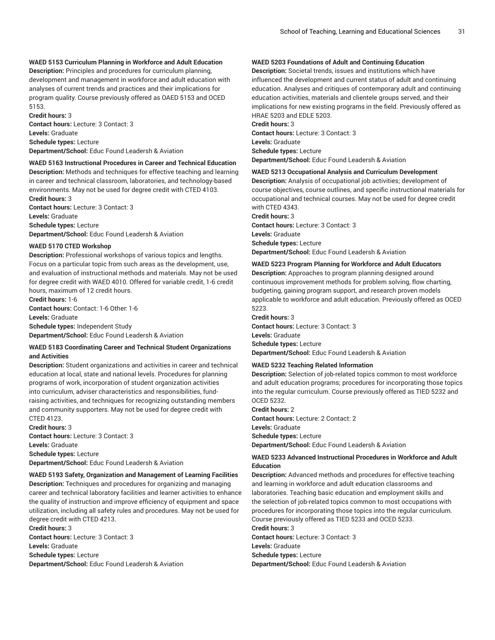### **WAED 5153 Curriculum Planning in Workforce and Adult Education**

**Description:** Principles and procedures for curriculum planning, development and management in workforce and adult education with analyses of current trends and practices and their implications for program quality. Course previously offered as OAED 5153 and OCED 5153.

**Credit hours:** 3 **Contact hours:** Lecture: 3 Contact: 3 **Levels:** Graduate **Schedule types:** Lecture **Department/School:** Educ Found Leadersh & Aviation

#### **WAED 5163 Instructional Procedures in Career and Technical Education**

**Description:** Methods and techniques for effective teaching and learning in career and technical classroom, laboratories, and technology-based environments. May not be used for degree credit with CTED 4103.

**Credit hours:** 3 **Contact hours:** Lecture: 3 Contact: 3 **Levels:** Graduate **Schedule types:** Lecture **Department/School:** Educ Found Leadersh & Aviation

#### **WAED 5170 CTED Workshop**

**Description:** Professional workshops of various topics and lengths. Focus on a particular topic from such areas as the development, use, and evaluation of instructional methods and materials. May not be used for degree credit with WAED 4010. Offered for variable credit, 1-6 credit hours, maximum of 12 credit hours.

**Credit hours:** 1-6 **Contact hours:** Contact: 1-6 Other: 1-6

**Levels:** Graduate

**Schedule types:** Independent Study

**Department/School:** Educ Found Leadersh & Aviation

#### **WAED 5183 Coordinating Career and Technical Student Organizations and Activities**

**Description:** Student organizations and activities in career and technical education at local, state and national levels. Procedures for planning programs of work, incorporation of student organization activities into curriculum, adviser characteristics and responsibilities, fundraising activities, and techniques for recognizing outstanding members and community supporters. May not be used for degree credit with CTED 4123.

**Credit hours:** 3 **Contact hours:** Lecture: 3 Contact: 3 **Levels:** Graduate **Schedule types:** Lecture **Department/School:** Educ Found Leadersh & Aviation

#### **WAED 5193 Safety, Organization and Management of Learning Facilities**

**Description:** Techniques and procedures for organizing and managing career and technical laboratory facilities and learner activities to enhance the quality of instruction and improve efficiency of equipment and space utilization, including all safety rules and procedures. May not be used for degree credit with CTED 4213.

**Credit hours:** 3 **Contact hours:** Lecture: 3 Contact: 3 **Levels:** Graduate **Schedule types:** Lecture **Department/School:** Educ Found Leadersh & Aviation

### **WAED 5203 Foundations of Adult and Continuing Education**

**Description:** Societal trends, issues and institutions which have influenced the development and current status of adult and continuing education. Analyses and critiques of contemporary adult and continuing education activities, materials and clientele groups served, and their implications for new existing programs in the field. Previously offered as HRAE 5203 and EDLE 5203.

### **Credit hours:** 3

**Contact hours:** Lecture: 3 Contact: 3 **Levels:** Graduate **Schedule types:** Lecture **Department/School:** Educ Found Leadersh & Aviation

#### **WAED 5213 Occupational Analysis and Curriculum Development**

**Description:** Analysis of occupational job activities; development of course objectives, course outlines, and specific instructional materials for occupational and technical courses. May not be used for degree credit with CTED 4343.

**Credit hours:** 3 **Contact hours:** Lecture: 3 Contact: 3 **Levels:** Graduate **Schedule types:** Lecture

**Department/School:** Educ Found Leadersh & Aviation

#### **WAED 5223 Program Planning for Workforce and Adult Educators**

**Description:** Approaches to program planning designed around continuous improvement methods for problem solving, flow charting, budgeting, gaining program support, and research proven models applicable to workforce and adult education. Previously offered as OCED 5223.

#### **Credit hours:** 3

**Contact hours:** Lecture: 3 Contact: 3 **Levels:** Graduate **Schedule types:** Lecture **Department/School:** Educ Found Leadersh & Aviation

#### **WAED 5232 Teaching Related Information**

**Description:** Selection of job-related topics common to most workforce and adult education programs; procedures for incorporating those topics into the regular curriculum. Course previously offered as TIED 5232 and OCED 5232.

**Credit hours:** 2 **Contact hours:** Lecture: 2 Contact: 2 **Levels:** Graduate **Schedule types:** Lecture **Department/School:** Educ Found Leadersh & Aviation

### **WAED 5233 Advanced Instructional Procedures in Workforce and Adult Education**

**Description:** Advanced methods and procedures for effective teaching and learning in workforce and adult education classrooms and laboratories. Teaching basic education and employment skills and the selection of job-related topics common to most occupations with procedures for incorporating those topics into the regular curriculum. Course previously offered as TIED 5233 and OCED 5233.

#### **Credit hours:** 3

**Contact hours:** Lecture: 3 Contact: 3

**Levels:** Graduate

**Schedule types:** Lecture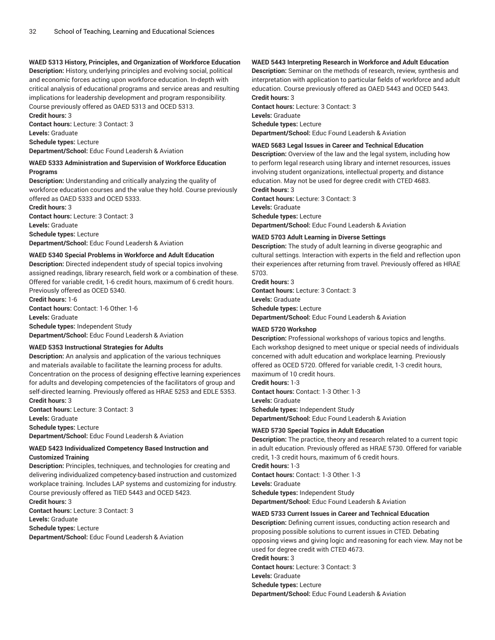### **WAED 5313 History, Principles, and Organization of Workforce Education**

**Description:** History, underlying principles and evolving social, political and economic forces acting upon workforce education. In-depth with critical analysis of educational programs and service areas and resulting implications for leadership development and program responsibility. Course previously offered as OAED 5313 and OCED 5313. **Credit hours:** 3

**Contact hours:** Lecture: 3 Contact: 3 **Levels:** Graduate **Schedule types:** Lecture **Department/School:** Educ Found Leadersh & Aviation

### **WAED 5333 Administration and Supervision of Workforce Education Programs**

**Description:** Understanding and critically analyzing the quality of workforce education courses and the value they hold. Course previously offered as OAED 5333 and OCED 5333.

**Credit hours:** 3 **Contact hours:** Lecture: 3 Contact: 3 **Levels:** Graduate **Schedule types:** Lecture **Department/School:** Educ Found Leadersh & Aviation

## **WAED 5340 Special Problems in Workforce and Adult Education**

**Description:** Directed independent study of special topics involving assigned readings, library research, field work or a combination of these. Offered for variable credit, 1-6 credit hours, maximum of 6 credit hours. Previously offered as OCED 5340.

**Credit hours:** 1-6 **Contact hours:** Contact: 1-6 Other: 1-6 **Levels:** Graduate **Schedule types:** Independent Study

**Department/School:** Educ Found Leadersh & Aviation

#### **WAED 5353 Instructional Strategies for Adults**

**Description:** An analysis and application of the various techniques and materials available to facilitate the learning process for adults. Concentration on the process of designing effective learning experiences for adults and developing competencies of the facilitators of group and self-directed learning. Previously offered as HRAE 5253 and EDLE 5353. **Credit hours:** 3

**Contact hours:** Lecture: 3 Contact: 3 **Levels:** Graduate **Schedule types:** Lecture **Department/School:** Educ Found Leadersh & Aviation

### **WAED 5423 Individualized Competency Based Instruction and Customized Training**

**Description:** Principles, techniques, and technologies for creating and delivering individualized competency-based instruction and customized workplace training. Includes LAP systems and customizing for industry. Course previously offered as TIED 5443 and OCED 5423.

**Credit hours:** 3 **Contact hours:** Lecture: 3 Contact: 3

**Levels:** Graduate

**Schedule types:** Lecture

**Department/School:** Educ Found Leadersh & Aviation

### **WAED 5443 Interpreting Research in Workforce and Adult Education**

**Description:** Seminar on the methods of research, review, synthesis and interpretation with application to particular fields of workforce and adult education. Course previously offered as OAED 5443 and OCED 5443. **Credit hours:** 3

**Contact hours:** Lecture: 3 Contact: 3 **Levels:** Graduate **Schedule types:** Lecture **Department/School:** Educ Found Leadersh & Aviation

#### **WAED 5683 Legal Issues in Career and Technical Education**

**Description:** Overview of the law and the legal system, including how to perform legal research using library and internet resources, issues involving student organizations, intellectual property, and distance education. May not be used for degree credit with CTED 4683.

**Credit hours:** 3 **Contact hours:** Lecture: 3 Contact: 3 **Levels:** Graduate **Schedule types:** Lecture **Department/School:** Educ Found Leadersh & Aviation

### **WAED 5703 Adult Learning in Diverse Settings**

**Description:** The study of adult learning in diverse geographic and cultural settings. Interaction with experts in the field and reflection upon their experiences after returning from travel. Previously offered as HRAE 5703.

**Credit hours:** 3 **Contact hours:** Lecture: 3 Contact: 3 **Levels:** Graduate **Schedule types:** Lecture **Department/School:** Educ Found Leadersh & Aviation

### **WAED 5720 Workshop**

**Description:** Professional workshops of various topics and lengths. Each workshop designed to meet unique or special needs of individuals concerned with adult education and workplace learning. Previously offered as OCED 5720. Offered for variable credit, 1-3 credit hours, maximum of 10 credit hours. **Credit hours:** 1-3

**Contact hours:** Contact: 1-3 Other: 1-3

**Levels:** Graduate

**Schedule types:** Independent Study

**Department/School:** Educ Found Leadersh & Aviation

### **WAED 5730 Special Topics in Adult Education**

**Description:** The practice, theory and research related to a current topic in adult education. Previously offered as HRAE 5730. Offered for variable credit, 1-3 credit hours, maximum of 6 credit hours. **Credit hours:** 1-3

**Contact hours:** Contact: 1-3 Other: 1-3 **Levels:** Graduate

**Schedule types:** Independent Study **Department/School:** Educ Found Leadersh & Aviation

#### **WAED 5733 Current Issues in Career and Technical Education**

**Description:** Defining current issues, conducting action research and proposing possible solutions to current issues in CTED. Debating opposing views and giving logic and reasoning for each view. May not be used for degree credit with CTED 4673. **Credit hours:** 3 **Contact hours:** Lecture: 3 Contact: 3 **Levels:** Graduate **Schedule types:** Lecture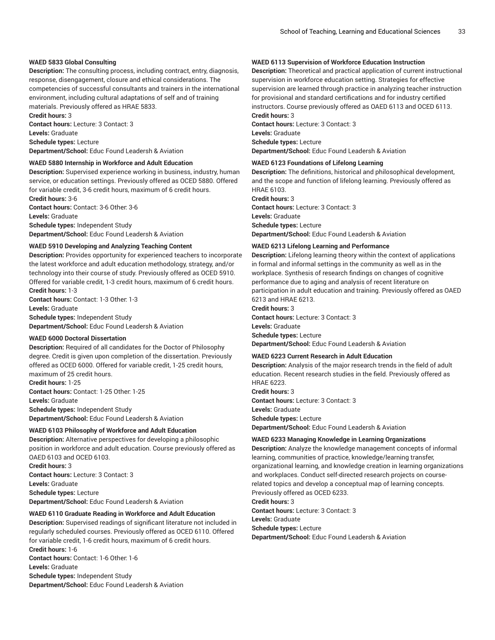### **WAED 5833 Global Consulting**

**Description:** The consulting process, including contract, entry, diagnosis, response, disengagement, closure and ethical considerations. The competencies of successful consultants and trainers in the international environment, including cultural adaptations of self and of training materials. Previously offered as HRAE 5833.

**Credit hours:** 3 **Contact hours:** Lecture: 3 Contact: 3

**Levels:** Graduate

**Schedule types:** Lecture

**Department/School:** Educ Found Leadersh & Aviation

#### **WAED 5880 Internship in Workforce and Adult Education**

**Description:** Supervised experience working in business, industry, human service, or education settings. Previously offered as OCED 5880. Offered for variable credit, 3-6 credit hours, maximum of 6 credit hours.

**Credit hours:** 3-6 **Contact hours:** Contact: 3-6 Other: 3-6 **Levels:** Graduate **Schedule types:** Independent Study **Department/School:** Educ Found Leadersh & Aviation

#### **WAED 5910 Developing and Analyzing Teaching Content**

**Description:** Provides opportunity for experienced teachers to incorporate the latest workforce and adult education methodology, strategy, and/or technology into their course of study. Previously offered as OCED 5910. Offered for variable credit, 1-3 credit hours, maximum of 6 credit hours. **Credit hours:** 1-3

**Contact hours:** Contact: 1-3 Other: 1-3 **Levels:** Graduate

**Schedule types:** Independent Study **Department/School:** Educ Found Leadersh & Aviation

#### **WAED 6000 Doctoral Dissertation**

**Description:** Required of all candidates for the Doctor of Philosophy degree. Credit is given upon completion of the dissertation. Previously offered as OCED 6000. Offered for variable credit, 1-25 credit hours, maximum of 25 credit hours.

**Credit hours:** 1-25 **Contact hours:** Contact: 1-25 Other: 1-25 **Levels:** Graduate **Schedule types:** Independent Study

**Department/School:** Educ Found Leadersh & Aviation

### **WAED 6103 Philosophy of Workforce and Adult Education**

**Description:** Alternative perspectives for developing a philosophic position in workforce and adult education. Course previously offered as OAED 6103 and OCED 6103.

**Credit hours:** 3 **Contact hours:** Lecture: 3 Contact: 3 **Levels:** Graduate **Schedule types:** Lecture **Department/School:** Educ Found Leadersh & Aviation

#### **WAED 6110 Graduate Reading in Workforce and Adult Education**

**Description:** Supervised readings of significant literature not included in regularly scheduled courses. Previously offered as OCED 6110. Offered for variable credit, 1-6 credit hours, maximum of 6 credit hours. **Credit hours:** 1-6 **Contact hours:** Contact: 1-6 Other: 1-6

**Levels:** Graduate **Schedule types:** Independent Study **Department/School:** Educ Found Leadersh & Aviation

### **WAED 6113 Supervision of Workforce Education Instruction**

**Description:** Theoretical and practical application of current instructional supervision in workforce education setting. Strategies for effective supervision are learned through practice in analyzing teacher instruction for provisional and standard certifications and for industry certified instructors. Course previously offered as OAED 6113 and OCED 6113. **Credit hours:** 3

**Contact hours:** Lecture: 3 Contact: 3 **Levels:** Graduate **Schedule types:** Lecture **Department/School:** Educ Found Leadersh & Aviation

#### **WAED 6123 Foundations of Lifelong Learning**

**Description:** The definitions, historical and philosophical development, and the scope and function of lifelong learning. Previously offered as HRAE 6103.

**Credit hours:** 3

**Contact hours:** Lecture: 3 Contact: 3 **Levels:** Graduate **Schedule types:** Lecture **Department/School:** Educ Found Leadersh & Aviation

#### **WAED 6213 Lifelong Learning and Performance**

**Description:** Lifelong learning theory within the context of applications in formal and informal settings in the community as well as in the workplace. Synthesis of research findings on changes of cognitive performance due to aging and analysis of recent literature on participation in adult education and training. Previously offered as OAED 6213 and HRAE 6213.

**Credit hours:** 3 **Contact hours:** Lecture: 3 Contact: 3

**Levels:** Graduate **Schedule types:** Lecture **Department/School:** Educ Found Leadersh & Aviation

#### **WAED 6223 Current Research in Adult Education**

**Description:** Analysis of the major research trends in the field of adult education. Recent research studies in the field. Previously offered as HRAE 6223. **Credit hours:** 3

**Contact hours:** Lecture: 3 Contact: 3 **Levels:** Graduate **Schedule types:** Lecture **Department/School:** Educ Found Leadersh & Aviation

#### **WAED 6233 Managing Knowledge in Learning Organizations**

**Description:** Analyze the knowledge management concepts of informal learning, communities of practice, knowledge/learning transfer, organizational learning, and knowledge creation in learning organizations and workplaces. Conduct self-directed research projects on courserelated topics and develop a conceptual map of learning concepts. Previously offered as OCED 6233.

**Credit hours:** 3

**Contact hours:** Lecture: 3 Contact: 3 **Levels:** Graduate

**Schedule types:** Lecture